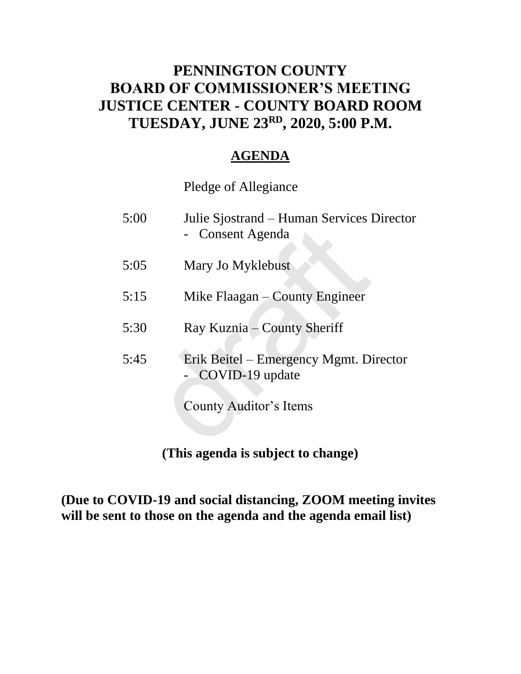### **PENNINGTON COUNTY BOARD OF COMMISSIONER'S MEETING JUSTICE CENTER - COUNTY BOARD ROOM TUESDAY, JUNE 23RD , 2020, 5:00 P.M.**

### **AGENDA**

Pledge of Allegiance

| Julie Sjostrand – Human Services Director<br>- Consent Agenda                       |
|-------------------------------------------------------------------------------------|
| Mary Jo Myklebust                                                                   |
| Mike Flaagan – County Engineer                                                      |
| Ray Kuznia – County Sheriff                                                         |
| Erik Beitel – Emergency Mgmt. Director<br>COVID-19 update<br>County Auditor's Items |
|                                                                                     |

**(This agenda is subject to change)**

**(Due to COVID-19 and social distancing, ZOOM meeting invites will be sent to those on the agenda and the agenda email list)**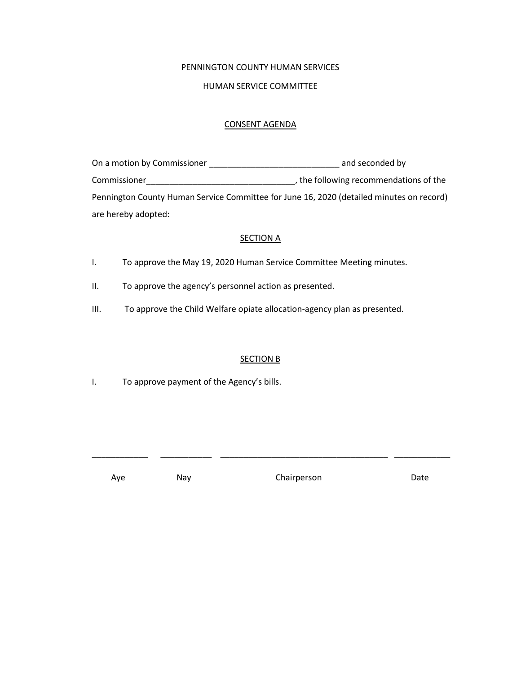#### PENNINGTON COUNTY HUMAN SERVICES

#### HUMAN SERVICE COMMITTEE

#### CONSENT AGENDA

| On a motion by Commissioner | and seconded by                                                                          |
|-----------------------------|------------------------------------------------------------------------------------------|
| Commissioner                | , the following recommendations of the                                                   |
|                             | Pennington County Human Service Committee for June 16, 2020 (detailed minutes on record) |
| are hereby adopted:         |                                                                                          |

#### **SECTION A**

- I. To approve the May 19, 2020 Human Service Committee Meeting minutes.
- II. To approve the agency's personnel action as presented.
- III. To approve the Child Welfare opiate allocation-agency plan as presented.

#### SECTION B

\_\_\_\_\_\_\_\_\_\_\_\_ \_\_\_\_\_\_\_\_\_\_\_ \_\_\_\_\_\_\_\_\_\_\_\_\_\_\_\_\_\_\_\_\_\_\_\_\_\_\_\_\_\_\_\_\_\_\_\_ \_\_\_\_\_\_\_\_\_\_\_\_

I. To approve payment of the Agency's bills.

Aye May Nay Chairperson Date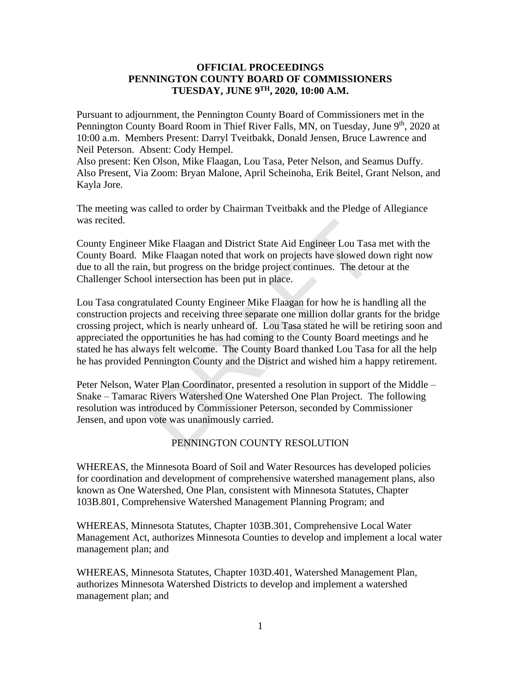#### **OFFICIAL PROCEEDINGS PENNINGTON COUNTY BOARD OF COMMISSIONERS TUESDAY, JUNE 9TH, 2020, 10:00 A.M.**

Pursuant to adjournment, the Pennington County Board of Commissioners met in the Pennington County Board Room in Thief River Falls, MN, on Tuesday, June 9<sup>th</sup>, 2020 at 10:00 a.m. Members Present: Darryl Tveitbakk, Donald Jensen, Bruce Lawrence and Neil Peterson. Absent: Cody Hempel.

Also present: Ken Olson, Mike Flaagan, Lou Tasa, Peter Nelson, and Seamus Duffy. Also Present, Via Zoom: Bryan Malone, April Scheinoha, Erik Beitel, Grant Nelson, and Kayla Jore.

The meeting was called to order by Chairman Tveitbakk and the Pledge of Allegiance was recited.

County Engineer Mike Flaagan and District State Aid Engineer Lou Tasa met with the County Board. Mike Flaagan noted that work on projects have slowed down right now due to all the rain, but progress on the bridge project continues. The detour at the Challenger School intersection has been put in place.

Lou Tasa congratulated County Engineer Mike Flaagan for how he is handling all the construction projects and receiving three separate one million dollar grants for the bridge crossing project, which is nearly unheard of. Lou Tasa stated he will be retiring soon and appreciated the opportunities he has had coming to the County Board meetings and he stated he has always felt welcome. The County Board thanked Lou Tasa for all the help he has provided Pennington County and the District and wished him a happy retirement. Mike Flaagan and District State Aid Engineer Lou Tasa<br>Mike Flaagan noted that work on projects have slowed dc<br>1, but progress on the bridge project continues. The deto<br>1 intersection has been put in place.<br>tulated County E

Peter Nelson, Water Plan Coordinator, presented a resolution in support of the Middle – Snake – Tamarac Rivers Watershed One Watershed One Plan Project. The following resolution was introduced by Commissioner Peterson, seconded by Commissioner Jensen, and upon vote was unanimously carried.

#### PENNINGTON COUNTY RESOLUTION

WHEREAS, the Minnesota Board of Soil and Water Resources has developed policies for coordination and development of comprehensive watershed management plans, also known as One Watershed, One Plan, consistent with Minnesota Statutes, Chapter 103B.801, Comprehensive Watershed Management Planning Program; and

WHEREAS, Minnesota Statutes, Chapter 103B.301, Comprehensive Local Water Management Act, authorizes Minnesota Counties to develop and implement a local water management plan; and

WHEREAS, Minnesota Statutes, Chapter 103D.401, Watershed Management Plan, authorizes Minnesota Watershed Districts to develop and implement a watershed management plan; and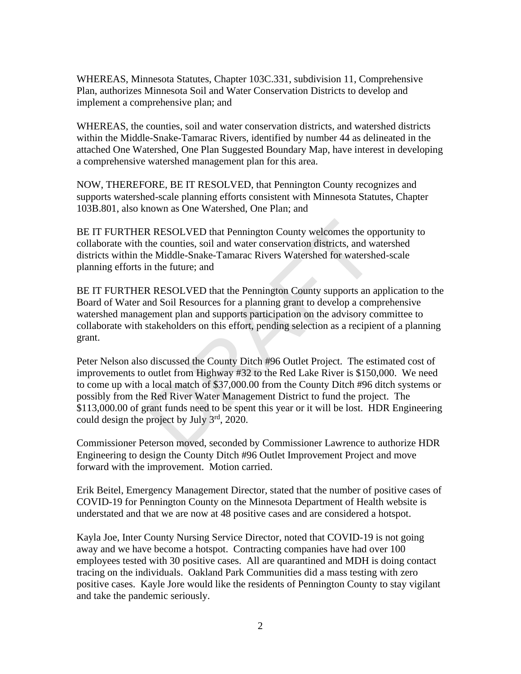WHEREAS, Minnesota Statutes, Chapter 103C.331, subdivision 11, Comprehensive Plan, authorizes Minnesota Soil and Water Conservation Districts to develop and implement a comprehensive plan; and

WHEREAS, the counties, soil and water conservation districts, and watershed districts within the Middle-Snake-Tamarac Rivers, identified by number 44 as delineated in the attached One Watershed, One Plan Suggested Boundary Map, have interest in developing a comprehensive watershed management plan for this area.

NOW, THEREFORE, BE IT RESOLVED, that Pennington County recognizes and supports watershed-scale planning efforts consistent with Minnesota Statutes, Chapter 103B.801, also known as One Watershed, One Plan; and

BE IT FURTHER RESOLVED that Pennington County welcomes the opportunity to collaborate with the counties, soil and water conservation districts, and watershed districts within the Middle-Snake-Tamarac Rivers Watershed for watershed-scale planning efforts in the future; and

BE IT FURTHER RESOLVED that the Pennington County supports an application to the Board of Water and Soil Resources for a planning grant to develop a comprehensive watershed management plan and supports participation on the advisory committee to collaborate with stakeholders on this effort, pending selection as a recipient of a planning grant.

Peter Nelson also discussed the County Ditch #96 Outlet Project. The estimated cost of improvements to outlet from Highway #32 to the Red Lake River is \$150,000. We need to come up with a local match of \$37,000.00 from the County Ditch #96 ditch systems or possibly from the Red River Water Management District to fund the project. The \$113,000.00 of grant funds need to be spent this year or it will be lost. HDR Engineering could design the project by July 3rd, 2020. R RESOLVED that Pennington County welcomes the op<br>the counties, soil and water conservation districts, and w<br>ne Middle-Snake-Tamarac Rivers Watershed for watersh-<br>in the future; and<br>R RESOLVED that the Pennington County s

Commissioner Peterson moved, seconded by Commissioner Lawrence to authorize HDR Engineering to design the County Ditch #96 Outlet Improvement Project and move forward with the improvement. Motion carried.

Erik Beitel, Emergency Management Director, stated that the number of positive cases of COVID-19 for Pennington County on the Minnesota Department of Health website is understated and that we are now at 48 positive cases and are considered a hotspot.

Kayla Joe, Inter County Nursing Service Director, noted that COVID-19 is not going away and we have become a hotspot. Contracting companies have had over 100 employees tested with 30 positive cases. All are quarantined and MDH is doing contact tracing on the individuals. Oakland Park Communities did a mass testing with zero positive cases. Kayle Jore would like the residents of Pennington County to stay vigilant and take the pandemic seriously.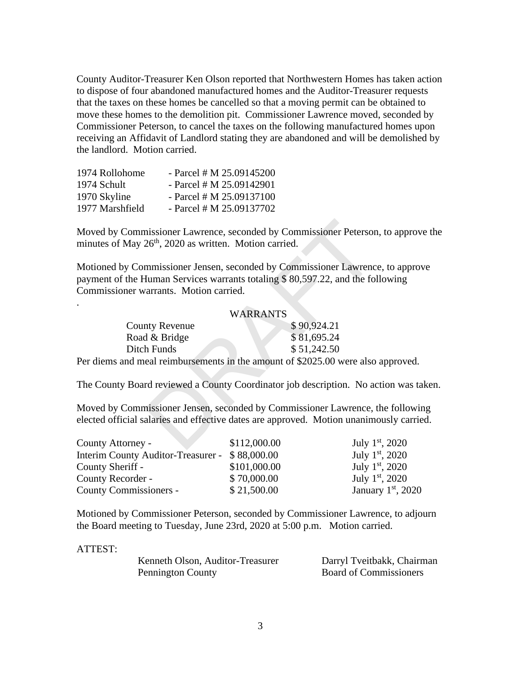County Auditor-Treasurer Ken Olson reported that Northwestern Homes has taken action to dispose of four abandoned manufactured homes and the Auditor-Treasurer requests that the taxes on these homes be cancelled so that a moving permit can be obtained to move these homes to the demolition pit. Commissioner Lawrence moved, seconded by Commissioner Peterson, to cancel the taxes on the following manufactured homes upon receiving an Affidavit of Landlord stating they are abandoned and will be demolished by the landlord. Motion carried.

| - Parcel # M $25.09145200$ |
|----------------------------|
| - Parcel # M $25.09142901$ |
| - Parcel # M $25.09137100$ |
| - Parcel # M $25.09137702$ |
|                            |

Moved by Commissioner Lawrence, seconded by Commissioner Peterson, to approve the minutes of May  $26<sup>th</sup>$ , 2020 as written. Motion carried.

Motioned by Commissioner Jensen, seconded by Commissioner Lawrence, to approve payment of the Human Services warrants totaling \$ 80,597.22, and the following Commissioner warrants. Motion carried.

#### WARRANTS

| oved by Commissioner Lawrence, seconded by Commissioner Petersor<br>nutes of May 26 <sup>th</sup> , 2020 as written. Motion carried.                                                |                 |             |
|-------------------------------------------------------------------------------------------------------------------------------------------------------------------------------------|-----------------|-------------|
| otioned by Commissioner Jensen, seconded by Commissioner Lawrenc<br>yment of the Human Services warrants totaling \$80,597.22, and the fol-<br>mmissioner warrants. Motion carried. |                 |             |
|                                                                                                                                                                                     | <b>WARRANTS</b> |             |
| <b>County Revenue</b>                                                                                                                                                               |                 | \$90,924.21 |
| Road & Bridge                                                                                                                                                                       |                 | \$81,695.24 |
| Ditch Funds                                                                                                                                                                         |                 | \$51,242.50 |
| r diems and meal reimbursements in the amount of \$2025.00 were also                                                                                                                |                 |             |
| e County Board reviewed a County Coordinator job description. No a                                                                                                                  |                 |             |
| oved by Commissioner Jensen, seconded by Commissioner Lawrence,<br>cted official salaries and effective dates are approved. Motion unanim                                           |                 |             |
| unty Attorney -                                                                                                                                                                     | \$112,000.00    | July 1      |
|                                                                                                                                                                                     |                 |             |

Per diems and meal reimbursements in the amount of \$2025.00 were also approved.

The County Board reviewed a County Coordinator job description. No action was taken.

Moved by Commissioner Jensen, seconded by Commissioner Lawrence, the following elected official salaries and effective dates are approved. Motion unanimously carried.

| County Attorney -                              | \$112,000.00 | July $1st$ , 2020           |
|------------------------------------------------|--------------|-----------------------------|
| Interim County Auditor-Treasurer - \$88,000.00 |              | July 1 <sup>st</sup> , 2020 |
| County Sheriff -                               | \$101,000.00 | July $1st$ , 2020           |
| County Recorder -                              | \$70,000.00  | July $1st$ , 2020           |
| County Commissioners -                         | \$21,500.00  | January $1st$ , 2020        |

Motioned by Commissioner Peterson, seconded by Commissioner Lawrence, to adjourn the Board meeting to Tuesday, June 23rd, 2020 at 5:00 p.m. Motion carried.

#### ATTEST:

.

| Kenneth Olson, Auditor-Treasurer | Darryl Tveitbakk, Chairman    |
|----------------------------------|-------------------------------|
| <b>Pennington County</b>         | <b>Board of Commissioners</b> |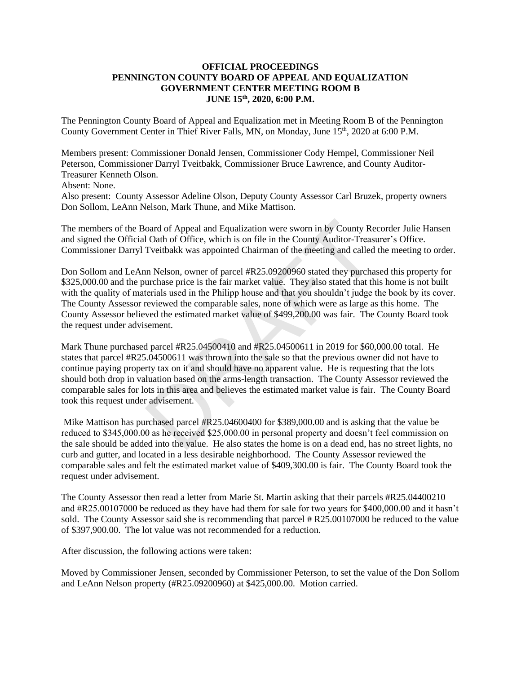#### **OFFICIAL PROCEEDINGS PENNINGTON COUNTY BOARD OF APPEAL AND EQUALIZATION GOVERNMENT CENTER MEETING ROOM B JUNE 15 th, 2020, 6:00 P.M.**

The Pennington County Board of Appeal and Equalization met in Meeting Room B of the Pennington County Government Center in Thief River Falls, MN, on Monday, June 15<sup>th</sup>, 2020 at 6:00 P.M.

Members present: Commissioner Donald Jensen, Commissioner Cody Hempel, Commissioner Neil Peterson, Commissioner Darryl Tveitbakk, Commissioner Bruce Lawrence, and County Auditor-Treasurer Kenneth Olson.

Absent: None.

Also present: County Assessor Adeline Olson, Deputy County Assessor Carl Bruzek, property owners Don Sollom, LeAnn Nelson, Mark Thune, and Mike Mattison.

The members of the Board of Appeal and Equalization were sworn in by County Recorder Julie Hansen and signed the Official Oath of Office, which is on file in the County Auditor-Treasurer's Office. Commissioner Darryl Tveitbakk was appointed Chairman of the meeting and called the meeting to order.

Don Sollom and LeAnn Nelson, owner of parcel #R25.09200960 stated they purchased this property for \$325,000.00 and the purchase price is the fair market value. They also stated that this home is not built with the quality of materials used in the Philipp house and that you shouldn't judge the book by its cover. The County Assessor reviewed the comparable sales, none of which were as large as this home. The County Assessor believed the estimated market value of \$499,200.00 was fair. The County Board took the request under advisement.

Mark Thune purchased parcel #R25.04500410 and #R25.04500611 in 2019 for \$60,000.00 total. He states that parcel #R25.04500611 was thrown into the sale so that the previous owner did not have to continue paying property tax on it and should have no apparent value. He is requesting that the lots should both drop in valuation based on the arms-length transaction. The County Assessor reviewed the comparable sales for lots in this area and believes the estimated market value is fair. The County Board took this request under advisement. oard of Appeal and Equalization were sworn in by County Re<br>1 Oath of Office, which is on file in the County Auditor-Treast<br>Tveitbakk was appointed Chairman of the meeting and called<br>in Nelson, owner of parcel #R25.09200960

Mike Mattison has purchased parcel #R25.04600400 for \$389,000.00 and is asking that the value be reduced to \$345,000.00 as he received \$25,000.00 in personal property and doesn't feel commission on the sale should be added into the value. He also states the home is on a dead end, has no street lights, no curb and gutter, and located in a less desirable neighborhood. The County Assessor reviewed the comparable sales and felt the estimated market value of \$409,300.00 is fair. The County Board took the request under advisement.

The County Assessor then read a letter from Marie St. Martin asking that their parcels #R25.04400210 and #R25.00107000 be reduced as they have had them for sale for two years for \$400,000.00 and it hasn't sold. The County Assessor said she is recommending that parcel # R25.00107000 be reduced to the value of \$397,900.00. The lot value was not recommended for a reduction.

After discussion, the following actions were taken:

Moved by Commissioner Jensen, seconded by Commissioner Peterson, to set the value of the Don Sollom and LeAnn Nelson property (#R25.09200960) at \$425,000.00. Motion carried.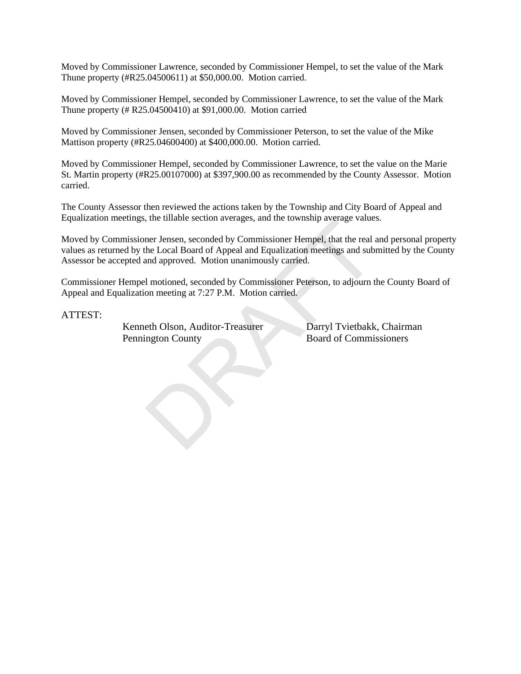Moved by Commissioner Lawrence, seconded by Commissioner Hempel, to set the value of the Mark Thune property (#R25.04500611) at \$50,000.00. Motion carried.

Moved by Commissioner Hempel, seconded by Commissioner Lawrence, to set the value of the Mark Thune property (# R25.04500410) at \$91,000.00. Motion carried

Moved by Commissioner Jensen, seconded by Commissioner Peterson, to set the value of the Mike Mattison property (#R25.04600400) at \$400,000.00. Motion carried.

Moved by Commissioner Hempel, seconded by Commissioner Lawrence, to set the value on the Marie St. Martin property (#R25.00107000) at \$397,900.00 as recommended by the County Assessor. Motion carried.

The County Assessor then reviewed the actions taken by the Township and City Board of Appeal and Equalization meetings, the tillable section averages, and the township average values.

Moved by Commissioner Jensen, seconded by Commissioner Hempel, that the real and personal property values as returned by the Local Board of Appeal and Equalization meetings and submitted by the County Assessor be accepted and approved. Motion unanimously carried. the unable section averages, and the township average values<br>ner Jensen, seconded by Commissioner Hempel, that the real a<br>he Local Board of Appeal and Equalization meetings and subn<br>and approved. Motion unanimously carried

Commissioner Hempel motioned, seconded by Commissioner Peterson, to adjourn the County Board of Appeal and Equalization meeting at 7:27 P.M. Motion carried.

ATTEST:

Kenneth Olson, Auditor-Treasurer Darryl Tvietbakk, Chairman Pennington County Board of Commissioners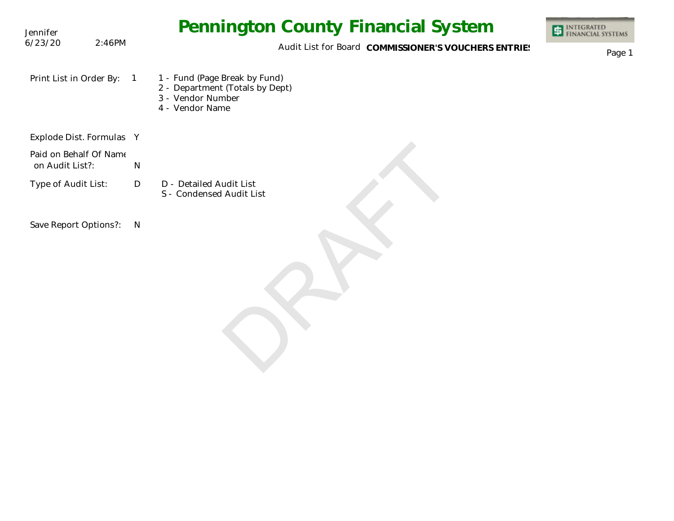| Jennifer                                  |        |              | <b>Pennington County Financial System</b>                                                                | <b>INTEGRATED</b><br>FINANCIAL SYSTEMS |
|-------------------------------------------|--------|--------------|----------------------------------------------------------------------------------------------------------|----------------------------------------|
| 6/23/20                                   | 2:46PM |              | Audit List for Board COMMISSIONER'S VOUCHERS ENTRIES                                                     | Page 1                                 |
| Print List in Order By:                   |        | $\sqrt{1}$   | 1 - Fund (Page Break by Fund)<br>2 - Department (Totals by Dept)<br>3 - Vendor Number<br>4 - Vendor Name |                                        |
| Explode Dist. Formulas Y                  |        |              |                                                                                                          |                                        |
| Paid on Behalf Of Name<br>on Audit List?: |        | ${\sf N}$    |                                                                                                          |                                        |
| Type of Audit List:                       |        | $\mathsf{D}$ | D - Detailed Audit List<br>S - Condensed Audit List                                                      |                                        |
| Save Report Options?:                     |        | $\mathsf{N}$ |                                                                                                          |                                        |
|                                           |        |              |                                                                                                          |                                        |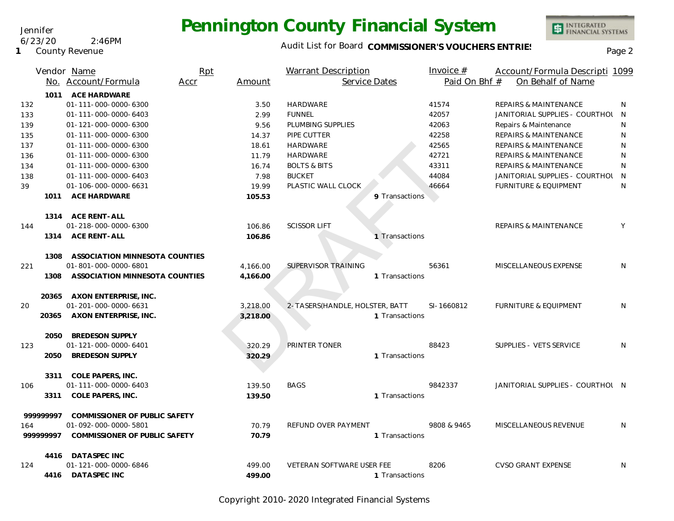Audit List for Board COMMISSIONER'S VOUCHERS ENTRIES<br>Page 2

INTEGRATED<br>FINANCIAL SYSTEMS

|     |           | Vendor Name                    | Rpt  |          | <b>Warrant Description</b>     |                | Invoice $#$   | Account/Formula Descripti 1099   |              |
|-----|-----------|--------------------------------|------|----------|--------------------------------|----------------|---------------|----------------------------------|--------------|
|     |           | No. Account/Formula            | Accr | Amount   | Service Dates                  |                | Paid On Bhf # | On Behalf of Name                |              |
|     | 1011      | ACE HARDWARE                   |      |          |                                |                |               |                                  |              |
| 132 |           | 01-111-000-0000-6300           |      | 3.50     | <b>HARDWARE</b>                |                | 41574         | REPAIRS & MAINTENANCE            | <sup>N</sup> |
| 133 |           | 01-111-000-0000-6403           |      | 2.99     | <b>FUNNEL</b>                  |                | 42057         | JANITORIAL SUPPLIES - COURTHOL N |              |
| 139 |           | 01-121-000-0000-6300           |      | 9.56     | PLUMBING SUPPLIES              |                | 42063         | Repairs & Maintenance            | N            |
| 135 |           | 01-111-000-0000-6300           |      | 14.37    | PIPE CUTTER                    |                | 42258         | REPAIRS & MAINTENANCE            | N            |
| 137 |           | 01-111-000-0000-6300           |      | 18.61    | HARDWARE                       |                | 42565         | REPAIRS & MAINTENANCE            | N            |
| 136 |           | 01-111-000-0000-6300           |      | 11.79    | <b>HARDWARE</b>                |                | 42721         | <b>REPAIRS &amp; MAINTENANCE</b> | N            |
| 134 |           | 01-111-000-0000-6300           |      | 16.74    | <b>BOLTS &amp; BITS</b>        |                | 43311         | REPAIRS & MAINTENANCE            | N            |
| 138 |           | 01-111-000-0000-6403           |      | 7.98     | <b>BUCKET</b>                  |                | 44084         | JANITORIAL SUPPLIES - COURTHOL N |              |
| 39  |           | 01-106-000-0000-6631           |      | 19.99    | PLASTIC WALL CLOCK             |                | 46664         | <b>FURNITURE &amp; EQUIPMENT</b> | N            |
|     | 1011      | <b>ACE HARDWARE</b>            |      | 105.53   |                                | 9 Transactions |               |                                  |              |
|     |           | 1314 ACE RENT-ALL              |      |          |                                |                |               |                                  |              |
| 144 |           | 01-218-000-0000-6300           |      | 106.86   | <b>SCISSOR LIFT</b>            |                |               | REPAIRS & MAINTENANCE            | Y            |
|     |           | 1314 ACE RENT-ALL              |      | 106.86   |                                | 1 Transactions |               |                                  |              |
|     | 1308      | ASSOCIATION MINNESOTA COUNTIES |      |          |                                |                |               |                                  |              |
| 221 |           | 01-801-000-0000-6801           |      | 4,166.00 | <b>SUPERVISOR TRAINING</b>     |                | 56361         | MISCELLANEOUS EXPENSE            | N            |
|     | 1308      | ASSOCIATION MINNESOTA COUNTIES |      | 4.166.00 |                                | 1 Transactions |               |                                  |              |
|     |           | 20365 AXON ENTERPRISE, INC.    |      |          |                                |                |               |                                  |              |
| 20  |           | 01-201-000-0000-6631           |      | 3,218.00 | 2-TASERS(HANDLE, HOLSTER, BATT |                | SI-1660812    | <b>FURNITURE &amp; EQUIPMENT</b> | N.           |
|     | 20365     | AXON ENTERPRISE, INC.          |      | 3,218.00 |                                | 1 Transactions |               |                                  |              |
|     | 2050      | <b>BREDESON SUPPLY</b>         |      |          |                                |                |               |                                  |              |
| 123 |           | 01-121-000-0000-6401           |      | 320.29   | PRINTER TONER                  |                | 88423         | SUPPLIES - VETS SERVICE          | N            |
|     | 2050      | <b>BREDESON SUPPLY</b>         |      | 320.29   |                                | 1 Transactions |               |                                  |              |
|     | 3311      | COLE PAPERS, INC.              |      |          |                                |                |               |                                  |              |
| 106 |           | 01-111-000-0000-6403           |      | 139.50   | <b>BAGS</b>                    |                | 9842337       | JANITORIAL SUPPLIES - COURTHOL N |              |
|     | 3311      | COLE PAPERS, INC.              |      | 139.50   |                                | 1 Transactions |               |                                  |              |
|     | 99999997  | COMMISSIONER OF PUBLIC SAFETY  |      |          |                                |                |               |                                  |              |
| 164 |           | 01-092-000-0000-5801           |      | 70.79    | REFUND OVER PAYMENT            |                | 9808 & 9465   | MISCELLANEOUS REVENUE            | N.           |
|     | 999999997 | COMMISSIONER OF PUBLIC SAFETY  |      | 70.79    |                                | 1 Transactions |               |                                  |              |
|     |           | 4416 DATASPEC INC              |      |          |                                |                |               |                                  |              |
| 124 |           | 01-121-000-0000-6846           |      | 499.00   | VETERAN SOFTWARE USER FEE      |                | 8206          | <b>CVSO GRANT EXPENSE</b>        | N            |
|     | 4416      | <b>DATASPEC INC</b>            |      | 499.00   |                                | 1 Transactions |               |                                  |              |

Copyright 2010-2020 Integrated Financial Systems

#### Jennifer

6/23/20 2:46PM

#### **1** County Revenue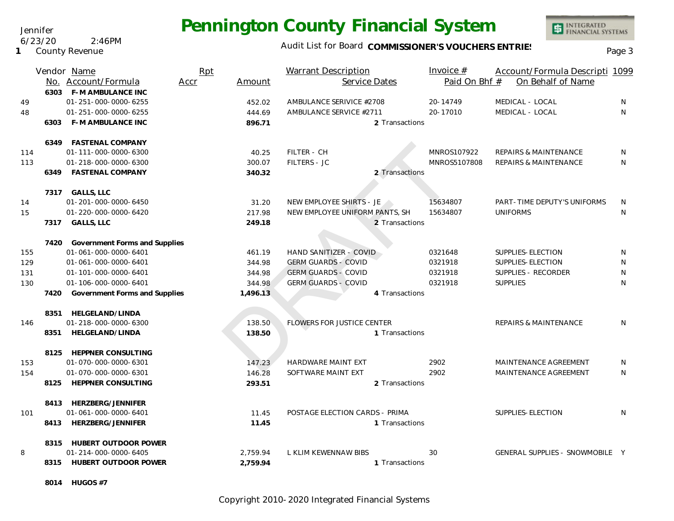### Audit List for Board COMMISSIONER'S VOUCHERS ENTRIES<br>Page 3

INTEGRATED<br>FINANCIAL SYSTEMS

|     |      | Vendor Name                        | Rpt  |          | Warrant Description            |                | Invoice $#$   | Account/Formula Descripti 1099   |   |
|-----|------|------------------------------------|------|----------|--------------------------------|----------------|---------------|----------------------------------|---|
|     |      | No. Account/Formula                | Accr | Amount   | Service Dates                  |                | Paid On Bhf # | On Behalf of Name                |   |
|     |      | 6303 F-M AMBULANCE INC             |      |          |                                |                |               |                                  |   |
| 49  |      | 01-251-000-0000-6255               |      | 452.02   | AMBULANCE SERIVICE #2708       |                | 20-14749      | MEDICAL - LOCAL                  | N |
| 48  |      | 01-251-000-0000-6255               |      | 444.69   | AMBULANCE SERVICE #2711        |                | 20-17010      | MEDICAL - LOCAL                  | N |
|     | 6303 | <b>F-M AMBULANCE INC</b>           |      | 896.71   |                                | 2 Transactions |               |                                  |   |
|     |      |                                    |      |          |                                |                |               |                                  |   |
|     |      | 6349 FASTENAL COMPANY              |      |          |                                |                |               |                                  |   |
| 114 |      | 01-111-000-0000-6300               |      | 40.25    | FILTER - CH                    |                | MNROS107922   | REPAIRS & MAINTENANCE            | N |
| 113 |      | 01-218-000-0000-6300               |      | 300.07   | <b>FILTERS - JC</b>            |                | MNROS5107808  | <b>REPAIRS &amp; MAINTENANCE</b> | N |
|     | 6349 | <b>FASTENAL COMPANY</b>            |      | 340.32   |                                | 2 Transactions |               |                                  |   |
|     |      |                                    |      |          |                                |                |               |                                  |   |
|     |      | 7317 GALLS, LLC                    |      |          |                                |                |               |                                  |   |
| 14  |      | 01-201-000-0000-6450               |      | 31.20    | NEW EMPLOYEE SHIRTS - JE       |                | 15634807      | PART-TIME DEPUTY'S UNIFORMS      | N |
| 15  |      | 01-220-000-0000-6420               |      | 217.98   | NEW EMPLOYEE UNIFORM PANTS, SH |                | 15634807      | <b>UNIFORMS</b>                  | N |
|     |      | 7317 GALLS, LLC                    |      | 249.18   |                                | 2 Transactions |               |                                  |   |
|     |      |                                    |      |          |                                |                |               |                                  |   |
|     |      | 7420 Government Forms and Supplies |      |          |                                |                |               |                                  |   |
| 155 |      | 01-061-000-0000-6401               |      | 461.19   | HAND SANITIZER - COVID         |                | 0321648       | SUPPLIES-ELECTION                | N |
| 129 |      | 01-061-000-0000-6401               |      | 344.98   | <b>GERM GUARDS - COVID</b>     |                | 0321918       | SUPPLIES-ELECTION                | N |
| 131 |      | 01-101-000-0000-6401               |      | 344.98   | <b>GERM GUARDS - COVID</b>     |                | 0321918       | SUPPLIES - RECORDER              | N |
| 130 |      | 01-106-000-0000-6401               |      | 344.98   | <b>GERM GUARDS - COVID</b>     |                | 0321918       | <b>SUPPLIES</b>                  | N |
|     | 7420 | Government Forms and Supplies      |      | 1,496.13 |                                | 4 Transactions |               |                                  |   |
|     |      |                                    |      |          |                                |                |               |                                  |   |
|     |      | 8351 HELGELAND/LINDA               |      |          |                                |                |               |                                  |   |
| 146 |      | 01-218-000-0000-6300               |      | 138.50   | FLOWERS FOR JUSTICE CENTER     |                |               | REPAIRS & MAINTENANCE            | N |
|     | 8351 | HELGELAND/LINDA                    |      | 138.50   |                                | 1 Transactions |               |                                  |   |
|     |      |                                    |      |          |                                |                |               |                                  |   |
|     |      | 8125 HEPPNER CONSULTING            |      |          |                                |                |               |                                  |   |
| 153 |      | 01-070-000-0000-6301               |      | 147.23   | HARDWARE MAINT EXT             |                | 2902          | MAINTENANCE AGREEMENT            | N |
| 154 |      | 01-070-000-0000-6301               |      | 146.28   | SOFTWARE MAINT EXT             |                | 2902          | MAINTENANCE AGREEMENT            | N |
|     | 8125 | HEPPNER CONSULTING                 |      | 293.51   |                                | 2 Transactions |               |                                  |   |
|     |      | 8413 HERZBERG/JENNIFER             |      |          |                                |                |               |                                  |   |
| 101 |      | 01-061-000-0000-6401               |      | 11.45    | POSTAGE ELECTION CARDS - PRIMA |                |               | SUPPLIES-ELECTION                | N |
|     | 8413 | HERZBERG/JENNIFER                  |      | 11.45    |                                | 1 Transactions |               |                                  |   |
|     |      |                                    |      |          |                                |                |               |                                  |   |
|     | 8315 | HUBERT OUTDOOR POWER               |      |          |                                |                |               |                                  |   |
| 8   |      | 01-214-000-0000-6405               |      | 2,759.94 | L KLIM KEWENNAW BIBS           |                | 30            | GENERAL SUPPLIES - SNOWMOBILE Y  |   |
|     |      | 8315 HUBERT OUTDOOR POWER          |      | 2,759.94 |                                | 1 Transactions |               |                                  |   |
|     |      |                                    |      |          |                                |                |               |                                  |   |

**8014 HUGOS #7**

Copyright 2010-2020 Integrated Financial Systems

Jennifer 6/23/20 2:46PM

**1** County Revenue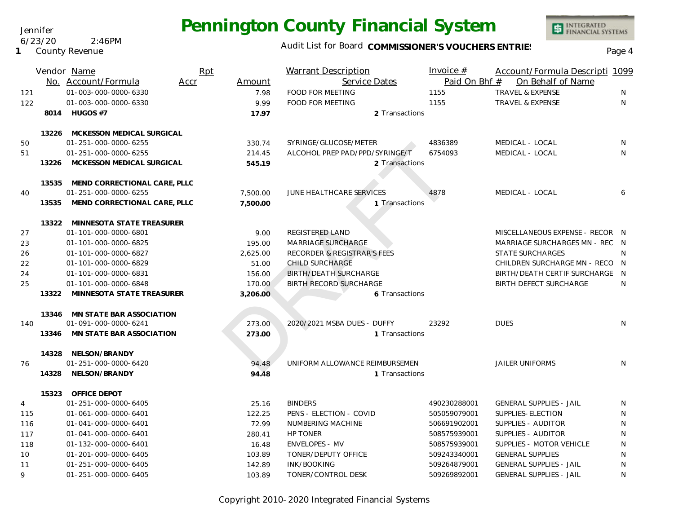Audit List for Board COMMISSIONER'S VOUCHERS ENTRIES<br>Page 4

|     |       | Vendor Name                     | Rpt  |          | <b>Warrant Description</b>             | Invoice $#$   | Account/Formula Descripti 1099  |              |
|-----|-------|---------------------------------|------|----------|----------------------------------------|---------------|---------------------------------|--------------|
|     |       | No. Account/Formula             | Accr | Amount   | Service Dates                          | Paid On Bhf # | On Behalf of Name               |              |
| 121 |       | 01-003-000-0000-6330            |      | 7.98     | FOOD FOR MEETING                       | 1155          | <b>TRAVEL &amp; EXPENSE</b>     | N            |
| 122 |       | 01-003-000-0000-6330            |      | 9.99     | <b>FOOD FOR MEETING</b>                | 1155          | <b>TRAVEL &amp; EXPENSE</b>     | N            |
|     |       | 8014 HUGOS #7                   |      | 17.97    | 2 Transactions                         |               |                                 |              |
|     |       |                                 |      |          |                                        |               |                                 |              |
|     |       | 13226 MCKESSON MEDICAL SURGICAL |      |          |                                        |               |                                 |              |
| 50  |       | 01-251-000-0000-6255            |      | 330.74   | SYRINGE/GLUCOSE/METER                  | 4836389       | MEDICAL - LOCAL                 | $\mathsf{N}$ |
| 51  |       | 01-251-000-0000-6255            |      | 214.45   | ALCOHOL PREP PAD/PPD/SYRINGE/T         | 6754093       | MEDICAL - LOCAL                 | N            |
|     | 13226 | MCKESSON MEDICAL SURGICAL       |      | 545.19   | 2 Transactions                         |               |                                 |              |
|     | 13535 | MEND CORRECTIONAL CARE, PLLC    |      |          |                                        |               |                                 |              |
| 40  |       | 01-251-000-0000-6255            |      | 7,500.00 | JUNE HEALTHCARE SERVICES               | 4878          | MEDICAL - LOCAL                 | 6            |
|     | 13535 | MEND CORRECTIONAL CARE, PLLC    |      | 7.500.00 | 1 Transactions                         |               |                                 |              |
|     | 13322 | MINNESOTA STATE TREASURER       |      |          |                                        |               |                                 |              |
| 27  |       | 01-101-000-0000-6801            |      | 9.00     | REGISTERED LAND                        |               | MISCELLANEOUS EXPENSE - RECOR N |              |
| 23  |       | 01-101-000-0000-6825            |      | 195.00   | <b>MARRIAGE SURCHARGE</b>              |               | MARRIAGE SURCHARGES MN - REC N  |              |
| 26  |       | 01-101-000-0000-6827            |      | 2,625.00 | <b>RECORDER &amp; REGISTRAR'S FEES</b> |               | <b>STATE SURCHARGES</b>         | $\mathsf{N}$ |
| 22  |       | 01-101-000-0000-6829            |      | 51.00    | <b>CHILD SURCHARGE</b>                 |               | CHILDREN SURCHARGE MN - RECO N  |              |
| 24  |       | 01-101-000-0000-6831            |      | 156.00   | <b>BIRTH/DEATH SURCHARGE</b>           |               | BIRTH/DEATH CERTIF SURCHARGE    | - N          |
| 25  |       | 01-101-000-0000-6848            |      | 170.00   | <b>BIRTH RECORD SURCHARGE</b>          |               | <b>BIRTH DEFECT SURCHARGE</b>   | $\mathsf{N}$ |
|     | 13322 | MINNESOTA STATE TREASURER       |      | 3,206.00 | 6 Transactions                         |               |                                 |              |
|     |       | 13346 MN STATE BAR ASSOCIATION  |      |          |                                        |               |                                 |              |
| 140 |       | 01-091-000-0000-6241            |      | 273.00   | 2020/2021 MSBA DUES - DUFFY            | 23292         | <b>DUES</b>                     | N            |
|     | 13346 | MN STATE BAR ASSOCIATION        |      | 273.00   | 1 Transactions                         |               |                                 |              |
|     | 14328 | NELSON/BRANDY                   |      |          |                                        |               |                                 |              |
| 76  |       | 01-251-000-0000-6420            |      | 94.48    | UNIFORM ALLOWANCE REIMBURSEMEN         |               | <b>JAILER UNIFORMS</b>          | N            |
|     | 14328 | NELSON/BRANDY                   |      | 94.48    | 1 Transactions                         |               |                                 |              |
|     | 15323 | OFFICE DEPOT                    |      |          |                                        |               |                                 |              |
| 4   |       | 01-251-000-0000-6405            |      | 25.16    | <b>BINDERS</b>                         | 490230288001  | <b>GENERAL SUPPLIES - JAIL</b>  | N            |
| 115 |       | 01-061-000-0000-6401            |      | 122.25   | PENS - ELECTION - COVID                | 505059079001  | SUPPLIES-ELECTION               | N            |
| 116 |       | 01-041-000-0000-6401            |      | 72.99    | NUMBERING MACHINE                      | 506691902001  | SUPPLIES - AUDITOR              | N            |
| 117 |       | 01-041-000-0000-6401            |      | 280.41   | HP TONER                               | 508575939001  | SUPPLIES - AUDITOR              | N            |
| 118 |       | 01-132-000-0000-6401            |      | 16.48    | <b>ENVELOPES - MV</b>                  | 508575939001  | SUPPLIES - MOTOR VEHICLE        | N            |
| 10  |       | 01-201-000-0000-6405            |      | 103.89   | TONER/DEPUTY OFFICE                    | 509243340001  | <b>GENERAL SUPPLIES</b>         | N            |
| 11  |       | 01-251-000-0000-6405            |      | 142.89   | INK/BOOKING                            | 509264879001  | <b>GENERAL SUPPLIES - JAIL</b>  | N            |
| 9   |       | 01-251-000-0000-6405            |      | 103.89   | TONER/CONTROL DESK                     | 509269892001  | <b>GENERAL SUPPLIES - JAIL</b>  | N            |

Copyright 2010-2020 Integrated Financial Systems

#### Jennifer 6/23/20 2:46PM

**1** County Revenue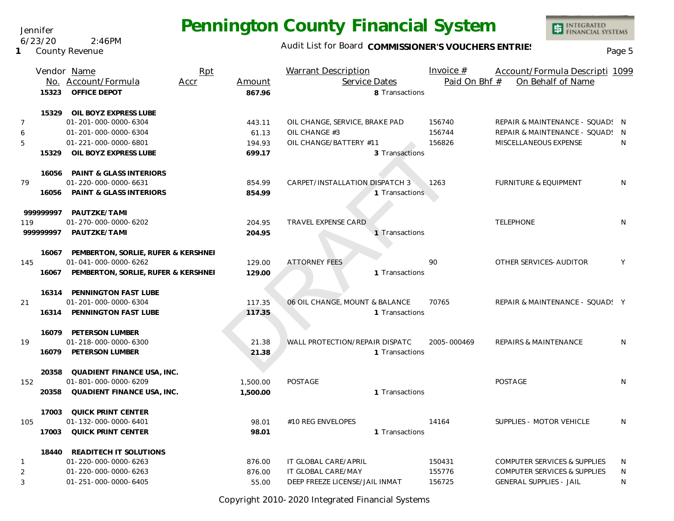Audit List for Board COMMISSIONER'S VOUCHERS ENTRIES<br>Page 5

|                | Vendor Name                               | Rpt      | <b>Warrant Description</b>     | Invoice $#$   | Account/Formula Descripti 1099   |    |
|----------------|-------------------------------------------|----------|--------------------------------|---------------|----------------------------------|----|
|                | No. Account/Formula<br>Accr               | Amount   | Service Dates                  | Paid On Bhf # | On Behalf of Name                |    |
| 15323          | OFFICE DEPOT                              | 867.96   | 8 Transactions                 |               |                                  |    |
| 15329          | OIL BOYZ EXPRESS LUBE                     |          |                                |               |                                  |    |
| $\overline{7}$ | 01-201-000-0000-6304                      | 443.11   | OIL CHANGE, SERVICE, BRAKE PAD | 156740        | REPAIR & MAINTENANCE - SQUAD! N  |    |
| 6              | 01-201-000-0000-6304                      | 61.13    | OIL CHANGE #3                  | 156744        | REPAIR & MAINTENANCE - SQUAD! N  |    |
| 5              | 01-221-000-0000-6801                      | 194.93   | OIL CHANGE/BATTERY #11         | 156826        | MISCELLANEOUS EXPENSE            | N  |
| 15329          | OIL BOYZ EXPRESS LUBE                     | 699.17   | 3 Transactions                 |               |                                  |    |
|                | 16056 PAINT & GLASS INTERIORS             |          |                                |               |                                  |    |
| 79             | 01-220-000-0000-6631                      | 854.99   | CARPET/INSTALLATION DISPATCH 3 | 1263          | <b>FURNITURE &amp; EQUIPMENT</b> | N  |
|                | 16056 PAINT & GLASS INTERIORS             | 854.99   | 1 Transactions                 |               |                                  |    |
| 999999997      | PAUTZKE/TAMI                              |          |                                |               |                                  |    |
| 119            | 01-270-000-0000-6202                      | 204.95   | TRAVEL EXPENSE CARD            |               | <b>TELEPHONE</b>                 | N  |
| 999999997      | PAUTZKE/TAMI                              | 204.95   | 1 Transactions                 |               |                                  |    |
|                | 16067 PEMBERTON, SORLIE, RUFER & KERSHNEI |          |                                |               |                                  |    |
| 145            | 01-041-000-0000-6262                      | 129.00   | <b>ATTORNEY FEES</b>           | 90            | OTHER SERVICES-AUDITOR           | Y  |
|                | 16067 PEMBERTON, SORLIE, RUFER & KERSHNEI | 129.00   | 1 Transactions                 |               |                                  |    |
|                | 16314 PENNINGTON FAST LUBE                |          |                                |               |                                  |    |
| 21             | 01-201-000-0000-6304                      | 117.35   | 06 OIL CHANGE, MOUNT & BALANCE | 70765         | REPAIR & MAINTENANCE - SQUAD! Y  |    |
|                | 16314 PENNINGTON FAST LUBE                | 117.35   | 1 Transactions                 |               |                                  |    |
|                | 16079 PETERSON LUMBER                     |          |                                |               |                                  |    |
| 19             | 01-218-000-0000-6300                      | 21.38    | WALL PROTECTION/REPAIR DISPATC | 2005-000469   | REPAIRS & MAINTENANCE            | N. |
|                | 16079 PETERSON LUMBER                     | 21.38    | 1 Transactions                 |               |                                  |    |
| 20358          | QUADIENT FINANCE USA, INC.                |          |                                |               |                                  |    |
| 152            | 01-801-000-0000-6209                      | 1,500.00 | <b>POSTAGE</b>                 |               | POSTAGE                          | N  |
| 20358          | QUADIENT FINANCE USA, INC.                | 1,500.00 | 1 Transactions                 |               |                                  |    |
| 17003          | QUICK PRINT CENTER                        |          |                                |               |                                  |    |
| 105            | 01-132-000-0000-6401                      | 98.01    | #10 REG ENVELOPES              | 14164         | SUPPLIES - MOTOR VEHICLE         | N  |
| 17003          | QUICK PRINT CENTER                        | 98.01    | 1 Transactions                 |               |                                  |    |
|                | 18440 READITECH IT SOLUTIONS              |          |                                |               |                                  |    |
| $\mathbf{1}$   | 01-220-000-0000-6263                      | 876.00   | IT GLOBAL CARE/APRIL           | 150431        | COMPUTER SERVICES & SUPPLIES     | N  |
| $\overline{2}$ | 01-220-000-0000-6263                      | 876.00   | IT GLOBAL CARE/MAY             | 155776        | COMPUTER SERVICES & SUPPLIES     | N  |
| 3              | 01-251-000-0000-6405                      | 55.00    | DEEP FREEZE LICENSE/JAIL INMAT | 156725        | <b>GENERAL SUPPLIES - JAIL</b>   | N  |

Copyright 2010-2020 Integrated Financial Systems

Jennifer

**1** County Revenue 6/23/20 2:46PM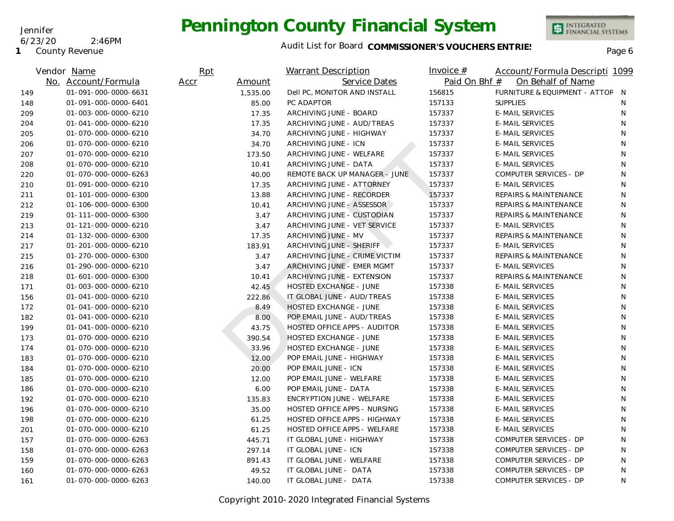**1** County Revenue

6/23/20 2:46PM

Jennifer

### Audit List for Board COMMISSIONER'S VOUCHERS ENTRIES

|     | Vendor Name          | Rpt            | Warrant Description           | Invoice $#$   | Account/Formula Descripti 1099   |    |
|-----|----------------------|----------------|-------------------------------|---------------|----------------------------------|----|
|     | No. Account/Formula  | Accr<br>Amount | Service Dates                 | Paid On Bhf # | On Behalf of Name                |    |
| 149 | 01-091-000-0000-6631 | 1,535.00       | Dell PC, MONITOR AND INSTALL  | 156815        | FURNITURE & EQUIPMENT - ATTOF N  |    |
| 148 | 01-091-000-0000-6401 | 85.00          | PC ADAPTOR                    | 157133        | <b>SUPPLIES</b>                  | N  |
| 209 | 01-003-000-0000-6210 | 17.35          | ARCHIVING JUNE - BOARD        | 157337        | <b>E-MAIL SERVICES</b>           | N  |
| 204 | 01-041-000-0000-6210 | 17.35          | ARCHIVING JUNE - AUD/TREAS    | 157337        | <b>E-MAIL SERVICES</b>           | N  |
| 205 | 01-070-000-0000-6210 | 34.70          | ARCHIVING JUNE - HIGHWAY      | 157337        | <b>E-MAIL SERVICES</b>           | N  |
| 206 | 01-070-000-0000-6210 | 34.70          | ARCHIVING JUNE - ICN          | 157337        | <b>E-MAIL SERVICES</b>           | N  |
| 207 | 01-070-000-0000-6210 | 173.50         | ARCHIVING JUNE - WELFARE      | 157337        | <b>E-MAIL SERVICES</b>           | N  |
| 208 | 01-070-000-0000-6210 | 10.41          | ARCHIVING JUNE - DATA         | 157337        | <b>E-MAIL SERVICES</b>           | N  |
| 220 | 01-070-000-0000-6263 | 40.00          | REMOTE BACK UP MANAGER - JUNE | 157337        | COMPUTER SERVICES - DP           | N  |
| 210 | 01-091-000-0000-6210 | 17.35          | ARCHIVING JUNE - ATTORNEY     | 157337        | <b>E-MAIL SERVICES</b>           | N  |
| 211 | 01-101-000-0000-6300 | 13.88          | ARCHIVING JUNE - RECORDER     | 157337        | <b>REPAIRS &amp; MAINTENANCE</b> | N  |
| 212 | 01-106-000-0000-6300 | 10.41          | ARCHIVING JUNE - ASSESSOR     | 157337        | <b>REPAIRS &amp; MAINTENANCE</b> | N  |
| 219 | 01-111-000-0000-6300 | 3.47           | ARCHIVING JUNE - CUSTODIAN    | 157337        | REPAIRS & MAINTENANCE            | N  |
| 213 | 01-121-000-0000-6210 | 3.47           | ARCHIVING JUNE - VET SERVICE  | 157337        | <b>E-MAIL SERVICES</b>           | N  |
| 214 | 01-132-000-0000-6300 | 17.35          | ARCHIVING JUNE - MV           | 157337        | REPAIRS & MAINTENANCE            | N  |
| 217 | 01-201-000-0000-6210 | 183.91         | ARCHIVING JUNE - SHERIFF      | 157337        | <b>E-MAIL SERVICES</b>           | N  |
| 215 | 01-270-000-0000-6300 | 3.47           | ARCHIVING JUNE - CRIME VICTIM | 157337        | <b>REPAIRS &amp; MAINTENANCE</b> | N  |
| 216 | 01-290-000-0000-6210 | 3.47           | ARCHIVING JUNE - EMER MGMT    | 157337        | <b>E-MAIL SERVICES</b>           | N  |
| 218 | 01-601-000-0000-6300 | 10.41          | ARCHIVING JUNE - EXTENSION    | 157337        | <b>REPAIRS &amp; MAINTENANCE</b> | N  |
| 171 | 01-003-000-0000-6210 | 42.45          | <b>HOSTED EXCHANGE - JUNE</b> | 157338        | <b>E-MAIL SERVICES</b>           | N  |
| 156 | 01-041-000-0000-6210 | 222.86         | IT GLOBAL JUNE - AUD/TREAS    | 157338        | <b>E-MAIL SERVICES</b>           | N  |
| 172 | 01-041-000-0000-6210 | 8.49           | <b>HOSTED EXCHANGE - JUNE</b> | 157338        | <b>E-MAIL SERVICES</b>           | N  |
| 182 | 01-041-000-0000-6210 | 8.00           | POP EMAIL JUNE - AUD/TREAS    | 157338        | <b>E-MAIL SERVICES</b>           | N  |
| 199 | 01-041-000-0000-6210 | 43.75          | HOSTED OFFICE APPS - AUDITOR  | 157338        | <b>E-MAIL SERVICES</b>           | N  |
| 173 | 01-070-000-0000-6210 | 390.54         | HOSTED EXCHANGE - JUNE        | 157338        | <b>E-MAIL SERVICES</b>           | N  |
| 174 | 01-070-000-0000-6210 | 33.96          | <b>HOSTED EXCHANGE - JUNE</b> | 157338        | <b>E-MAIL SERVICES</b>           | N  |
| 183 | 01-070-000-0000-6210 | 12.00          | POP EMAIL JUNE - HIGHWAY      | 157338        | <b>E-MAIL SERVICES</b>           | N  |
| 184 | 01-070-000-0000-6210 | 20.00          | POP EMAIL JUNE - ICN          | 157338        | <b>E-MAIL SERVICES</b>           | N  |
| 185 | 01-070-000-0000-6210 | 12.00          | POP EMAIL JUNE - WELFARE      | 157338        | <b>E-MAIL SERVICES</b>           | N  |
| 186 | 01-070-000-0000-6210 | 6.00           | POP EMAIL JUNE - DATA         | 157338        | <b>E-MAIL SERVICES</b>           | N  |
| 192 | 01-070-000-0000-6210 | 135.83         | ENCRYPTION JUNE - WELFARE     | 157338        | <b>E-MAIL SERVICES</b>           | N. |
| 196 | 01-070-000-0000-6210 | 35.00          | HOSTED OFFICE APPS - NURSING  | 157338        | <b>E-MAIL SERVICES</b>           | N  |
| 198 | 01-070-000-0000-6210 | 61.25          | HOSTED OFFICE APPS - HIGHWAY  | 157338        | <b>E-MAIL SERVICES</b>           | N. |
| 201 | 01-070-000-0000-6210 | 61.25          | HOSTED OFFICE APPS - WELFARE  | 157338        | <b>E-MAIL SERVICES</b>           | N  |
| 157 | 01-070-000-0000-6263 | 445.71         | IT GLOBAL JUNE - HIGHWAY      | 157338        | COMPUTER SERVICES - DP           | N  |
| 158 | 01-070-000-0000-6263 | 297.14         | IT GLOBAL JUNE - ICN          | 157338        | COMPUTER SERVICES - DP           | N  |
| 159 | 01-070-000-0000-6263 | 891.43         | IT GLOBAL JUNE - WELFARE      | 157338        | COMPUTER SERVICES - DP           | N  |
| 160 | 01-070-000-0000-6263 | 49.52          | IT GLOBAL JUNE - DATA         | 157338        | COMPUTER SERVICES - DP           | N  |
| 161 | 01-070-000-0000-6263 | 140.00         | IT GLOBAL JUNE - DATA         | 157338        | COMPUTER SERVICES - DP           | N  |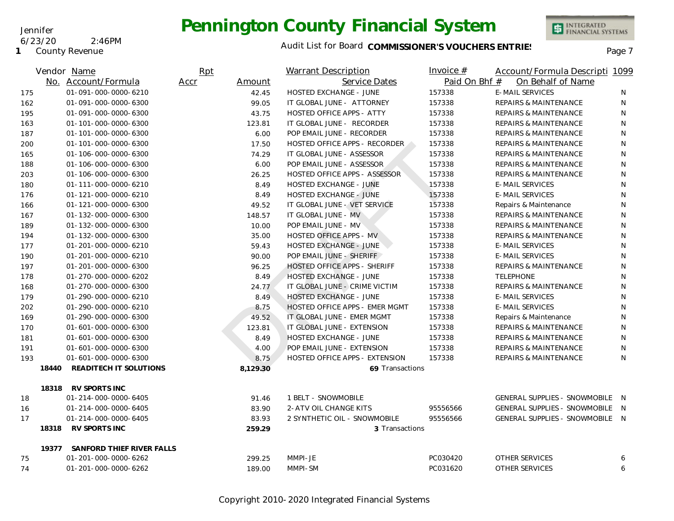**1** County Revenue

6/23/20 2:46PM

Jennifer

### Audit List for Board COMMISSIONER'S VOUCHERS ENTRIES<br>Page 7

|     |       | Vendor Name                     | Rpt            |       | <b>Warrant Description</b>            | Invoice $#$   | Account/Formula Descripti 1099   |   |
|-----|-------|---------------------------------|----------------|-------|---------------------------------------|---------------|----------------------------------|---|
|     |       | No. Account/Formula             | Amount<br>Accr |       | Service Dates                         | Paid On Bhf # | On Behalf of Name                |   |
| 175 |       | 01-091-000-0000-6210            | 42.45          |       | <b>HOSTED EXCHANGE - JUNE</b>         | 157338        | <b>E-MAIL SERVICES</b>           | N |
| 162 |       | 01-091-000-0000-6300            | 99.05          |       | IT GLOBAL JUNE - ATTORNEY             | 157338        | <b>REPAIRS &amp; MAINTENANCE</b> | N |
| 195 |       | 01-091-000-0000-6300            |                | 43.75 | <b>HOSTED OFFICE APPS - ATTY</b>      | 157338        | <b>REPAIRS &amp; MAINTENANCE</b> | N |
| 163 |       | 01-101-000-0000-6300            | 123.81         |       | IT GLOBAL JUNE - RECORDER             | 157338        | <b>REPAIRS &amp; MAINTENANCE</b> | N |
| 187 |       | 01-101-000-0000-6300            |                | 6.00  | POP EMAIL JUNE - RECORDER             | 157338        | REPAIRS & MAINTENANCE            | N |
| 200 |       | 01-101-000-0000-6300            | 17.50          |       | HOSTED OFFICE APPS - RECORDER         | 157338        | <b>REPAIRS &amp; MAINTENANCE</b> | N |
| 165 |       | 01-106-000-0000-6300            |                | 74.29 | IT GLOBAL JUNE - ASSESSOR             | 157338        | <b>REPAIRS &amp; MAINTENANCE</b> | N |
| 188 |       | 01-106-000-0000-6300            |                | 6.00  | POP EMAIL JUNE - ASSESSOR             | 157338        | <b>REPAIRS &amp; MAINTENANCE</b> | N |
| 203 |       | 01-106-000-0000-6300            | 26.25          |       | HOSTED OFFICE APPS - ASSESSOR         | 157338        | <b>REPAIRS &amp; MAINTENANCE</b> | N |
| 180 |       | 01-111-000-0000-6210            |                | 8.49  | <b>HOSTED EXCHANGE - JUNE</b>         | 157338        | <b>E-MAIL SERVICES</b>           | N |
| 176 |       | 01-121-000-0000-6210            |                | 8.49  | <b>HOSTED EXCHANGE - JUNE</b>         | 157338        | <b>E-MAIL SERVICES</b>           | N |
| 166 |       | 01-121-000-0000-6300            |                | 49.52 | IT GLOBAL JUNE - VET SERVICE          | 157338        | Repairs & Maintenance            | N |
| 167 |       | 01-132-000-0000-6300            | 148.57         |       | IT GLOBAL JUNE - MV                   | 157338        | REPAIRS & MAINTENANCE            | N |
| 189 |       | 01-132-000-0000-6300            | 10.00          |       | POP EMAIL JUNE - MV                   | 157338        | REPAIRS & MAINTENANCE            | N |
| 194 |       | 01-132-000-0000-6300            |                | 35.00 | <b>HOSTED OFFICE APPS - MV</b>        | 157338        | <b>REPAIRS &amp; MAINTENANCE</b> | N |
| 177 |       | 01-201-000-0000-6210            |                | 59.43 | <b>HOSTED EXCHANGE - JUNE</b>         | 157338        | <b>E-MAIL SERVICES</b>           | N |
| 190 |       | 01-201-000-0000-6210            |                | 90.00 | POP EMAIL JUNE - SHERIFF              | 157338        | <b>E-MAIL SERVICES</b>           | N |
| 197 |       | 01-201-000-0000-6300            |                | 96.25 | <b>HOSTED OFFICE APPS - SHERIFF</b>   | 157338        | <b>REPAIRS &amp; MAINTENANCE</b> | N |
| 178 |       | 01-270-000-0000-6202            |                | 8.49  | <b>HOSTED EXCHANGE - JUNE</b>         | 157338        | <b>TELEPHONE</b>                 | N |
| 168 |       | 01-270-000-0000-6300            |                | 24.77 | IT GLOBAL JUNE - CRIME VICTIM         | 157338        | <b>REPAIRS &amp; MAINTENANCE</b> | N |
| 179 |       | 01-290-000-0000-6210            |                | 8.49  | <b>HOSTED EXCHANGE - JUNE</b>         | 157338        | <b>E-MAIL SERVICES</b>           | N |
| 202 |       | 01-290-000-0000-6210            |                | 8.75  | HOSTED OFFICE APPS - EMER MGMT        | 157338        | <b>E-MAIL SERVICES</b>           | N |
| 169 |       | 01-290-000-0000-6300            |                | 49.52 | IT GLOBAL JUNE - EMER MGMT            | 157338        | Repairs & Maintenance            | N |
| 170 |       | 01-601-000-0000-6300            | 123.81         |       | IT GLOBAL JUNE - EXTENSION            | 157338        | REPAIRS & MAINTENANCE            | N |
| 181 |       | 01-601-000-0000-6300            |                | 8.49  | <b>HOSTED EXCHANGE - JUNE</b>         | 157338        | <b>REPAIRS &amp; MAINTENANCE</b> | N |
| 191 |       | 01-601-000-0000-6300            |                | 4.00  | POP EMAIL JUNE - EXTENSION            | 157338        | <b>REPAIRS &amp; MAINTENANCE</b> | N |
| 193 |       | 01-601-000-0000-6300            |                | 8.75  | <b>HOSTED OFFICE APPS - EXTENSION</b> | 157338        | <b>REPAIRS &amp; MAINTENANCE</b> | N |
|     | 18440 | READITECH IT SOLUTIONS          | 8,129.30       |       | 69 Transactions                       |               |                                  |   |
|     |       | 18318 RV SPORTS INC             |                |       |                                       |               |                                  |   |
| 18  |       | 01-214-000-0000-6405            |                | 91.46 | 1 BELT - SNOWMOBILE                   |               | GENERAL SUPPLIES - SNOWMOBILE N  |   |
| 16  |       | 01-214-000-0000-6405            |                | 83.90 | 2-ATV OIL CHANGE KITS                 | 95556566      | GENERAL SUPPLIES - SNOWMOBILE N  |   |
| 17  |       | 01-214-000-0000-6405            | 83.93          |       | 2 SYNTHETIC OIL - SNOWMOBILE          | 95556566      | GENERAL SUPPLIES - SNOWMOBILE N  |   |
|     | 18318 | RV SPORTS INC                   | 259.29         |       | 3 Transactions                        |               |                                  |   |
|     |       | 19377 SANFORD THIEF RIVER FALLS |                |       |                                       |               |                                  |   |
| 75  |       | 01-201-000-0000-6262            | 299.25         |       | MMPI-JE                               | PC030420      | OTHER SERVICES                   | 6 |
| 74  |       | 01-201-000-0000-6262            | 189.00         |       | MMPI-SM                               | PC031620      | <b>OTHER SERVICES</b>            | 6 |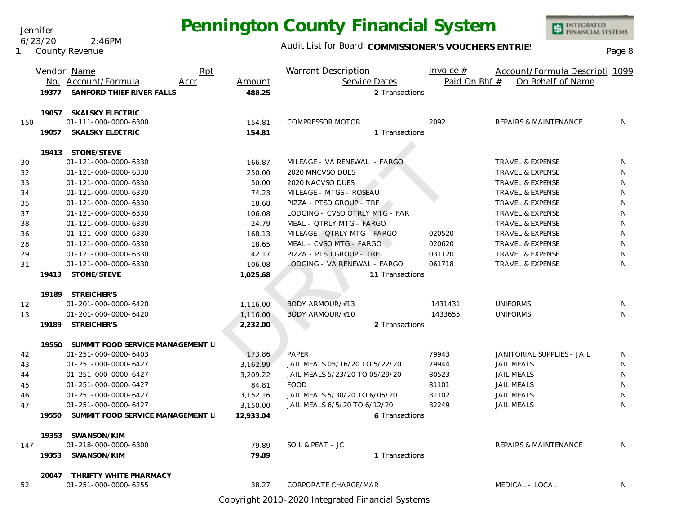Jennifer 6/23/20 2:46PM

**1** County Revenue

### Audit List for Board COMMISSIONER'S VOUCHERS ENTRIES

INTEGRATED<br>FINANCIAL SYSTEMS

|     |       | Vendor Name                            | Rpt  |           | <b>Warrant Description</b>     | Invoice $#$   | Account/Formula Descripti 1099 |    |
|-----|-------|----------------------------------------|------|-----------|--------------------------------|---------------|--------------------------------|----|
|     |       | No. Account/Formula                    | Accr | Amount    | Service Dates                  | Paid On Bhf # | On Behalf of Name              |    |
|     | 19377 | SANFORD THIEF RIVER FALLS              |      | 488.25    | 2 Transactions                 |               |                                |    |
|     |       | 19057 SKALSKY ELECTRIC                 |      |           |                                |               |                                |    |
| 150 |       | 01-111-000-0000-6300                   |      | 154.81    | COMPRESSOR MOTOR               | 2092          | REPAIRS & MAINTENANCE          | N. |
|     | 19057 | <b>SKALSKY ELECTRIC</b>                |      | 154.81    | 1 Transactions                 |               |                                |    |
|     |       | 19413 STONE/STEVE                      |      |           |                                |               |                                |    |
| 30  |       | 01-121-000-0000-6330                   |      | 166.87    | MILEAGE - VA RENEWAL - FARGO   |               | TRAVEL & EXPENSE               | N  |
| 32  |       | 01-121-000-0000-6330                   |      | 250.00    | 2020 MNCVSO DUES               |               | TRAVEL & EXPENSE               | N  |
| 33  |       | 01-121-000-0000-6330                   |      | 50.00     | 2020 NACVSO DUES               |               | <b>TRAVEL &amp; EXPENSE</b>    | N  |
| 34  |       | 01-121-000-0000-6330                   |      | 74.23     | MILEAGE - MTGS - ROSEAU        |               | TRAVEL & EXPENSE               | N  |
| 35  |       | 01-121-000-0000-6330                   |      | 18.68     | PIZZA - PTSD GROUP - TRF       |               | TRAVEL & EXPENSE               | N  |
| 37  |       | 01-121-000-0000-6330                   |      | 106.08    | LODGING - CVSO QTRLY MTG - FAR |               | <b>TRAVEL &amp; EXPENSE</b>    | N  |
| 38  |       | 01-121-000-0000-6330                   |      | 24.79     | MEAL - QTRLY MTG - FARGO       |               | <b>TRAVEL &amp; EXPENSE</b>    | N  |
| 36  |       | 01-121-000-0000-6330                   |      | 168.13    | MILEAGE - QTRLY MTG - FARGO    | 020520        | TRAVEL & EXPENSE               | N  |
| 28  |       | 01-121-000-0000-6330                   |      | 18.65     | MEAL - CVSO MTG - FARGO        | 020620        | <b>TRAVEL &amp; EXPENSE</b>    | N  |
| 29  |       | 01-121-000-0000-6330                   |      | 42.17     | PIZZA - PTSD GROUP - TRF       | 031120        | TRAVEL & EXPENSE               | N  |
| 31  |       | 01-121-000-0000-6330                   |      | 106.08    | LODGING - VA RENEWAL - FARGO   | 061718        | TRAVEL & EXPENSE               | N  |
|     | 19413 | STONE/STEVE                            |      | 1,025.68  | 11 Transactions                |               |                                |    |
|     |       | 19189 STREICHER'S                      |      |           |                                |               |                                |    |
| 12  |       | 01-201-000-0000-6420                   |      | 1,116.00  | BODY ARMOUR/#13                | 11431431      | <b>UNIFORMS</b>                | N  |
| 13  |       | 01-201-000-0000-6420                   |      | 1,116.00  | BODY ARMOUR/#10                | 11433655      | <b>UNIFORMS</b>                | N  |
|     |       | 19189 STREICHER'S                      |      | 2,232.00  | 2 Transactions                 |               |                                |    |
|     | 19550 | SUMMIT FOOD SERVICE MANAGEMENT L       |      |           |                                |               |                                |    |
| 42  |       | 01-251-000-0000-6403                   |      | 173.86    | PAPER                          | 79943         | JANITORIAL SUPPLIES - JAIL     | N  |
| 43  |       | 01-251-000-0000-6427                   |      | 3,162.99  | JAIL MEALS 05/16/20 TO 5/22/20 | 79944         | <b>JAIL MEALS</b>              | N  |
| 44  |       | 01-251-000-0000-6427                   |      | 3,209.22  | JAIL MEALS 5/23/20 TO 05/29/20 | 80523         | <b>JAIL MEALS</b>              | N  |
| 45  |       | 01-251-000-0000-6427                   |      | 84.81     | <b>FOOD</b>                    | 81101         | <b>JAIL MEALS</b>              | N  |
| 46  |       | 01-251-000-0000-6427                   |      | 3,152.16  | JAIL MEALS 5/30/20 TO 6/05/20  | 81102         | <b>JAIL MEALS</b>              | N  |
| 47  |       | 01-251-000-0000-6427                   |      | 3,150.00  | JAIL MEALS 6/5/20 TO 6/12/20   | 82249         | <b>JAIL MEALS</b>              | N  |
|     |       | 19550 SUMMIT FOOD SERVICE MANAGEMENT L |      | 12,933.04 | 6 Transactions                 |               |                                |    |
|     |       | 19353 SWANSON/KIM                      |      |           |                                |               |                                |    |
| 147 |       | 01-218-000-0000-6300                   |      | 79.89     | SOIL & PEAT - JC               |               | REPAIRS & MAINTENANCE          | N  |
|     |       | 19353 SWANSON/KIM                      |      | 79.89     | 1 Transactions                 |               |                                |    |
|     | 20047 | THRIFTY WHITE PHARMACY                 |      |           |                                |               |                                |    |
| 52  |       | 01-251-000-0000-6255                   |      | 38.27     | <b>CORPORATE CHARGE/MAR</b>    |               | MEDICAL - LOCAL                | N  |

Copyright 2010-2020 Integrated Financial Systems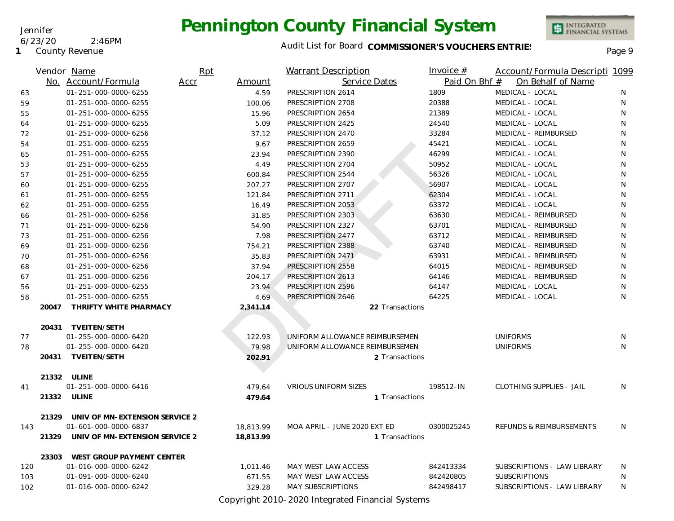Jennifer 6/23/20 2:46PM

**1** County Revenue

### Audit List for Board COMMISSIONER'S VOUCHERS ENTRIES<br>Page 9

INTEGRATED<br>FINANCIAL SYSTEMS

|     |       | Vendor Name                          | Rpt            |        | <b>Warrant Description</b>     |                 | Invoice $#$   | Account/Formula Descripti 1099  |    |
|-----|-------|--------------------------------------|----------------|--------|--------------------------------|-----------------|---------------|---------------------------------|----|
|     |       | No. Account/Formula                  | Accr<br>Amount |        | Service Dates                  |                 | Paid On Bhf # | On Behalf of Name               |    |
| 63  |       | 01-251-000-0000-6255                 |                | 4.59   | PRESCRIPTION 2614              |                 | 1809          | MEDICAL - LOCAL                 | N  |
| 59  |       | 01-251-000-0000-6255                 |                | 100.06 | PRESCRIPTION 2708              |                 | 20388         | MEDICAL - LOCAL                 | N  |
| 55  |       | 01-251-000-0000-6255                 |                | 15.96  | PRESCRIPTION 2654              |                 | 21389         | MEDICAL - LOCAL                 | N  |
| 64  |       | 01-251-000-0000-6255                 |                | 5.09   | PRESCRIPTION 2425              |                 | 24540         | MEDICAL - LOCAL                 | N  |
| 72  |       | 01-251-000-0000-6256                 |                | 37.12  | PRESCRIPTION 2470              |                 | 33284         | MEDICAL - REIMBURSED            | N  |
| 54  |       | 01-251-000-0000-6255                 |                | 9.67   | PRESCRIPTION 2659              |                 | 45421         | MEDICAL - LOCAL                 | N  |
| 65  |       | 01-251-000-0000-6255                 |                | 23.94  | PRESCRIPTION 2390              |                 | 46299         | MEDICAL - LOCAL                 | N  |
| 53  |       | 01-251-000-0000-6255                 |                | 4.49   | PRESCRIPTION 2704              |                 | 50952         | MEDICAL - LOCAL                 | N  |
| 57  |       | 01-251-000-0000-6255                 | 600.84         |        | PRESCRIPTION 2544              |                 | 56326         | MEDICAL - LOCAL                 | N  |
| 60  |       | 01-251-000-0000-6255                 |                | 207.27 | PRESCRIPTION 2707              |                 | 56907         | MEDICAL - LOCAL                 | N  |
| 61  |       | 01-251-000-0000-6255                 |                | 121.84 | PRESCRIPTION 2711              |                 | 62304         | MEDICAL - LOCAL                 | N  |
| 62  |       | 01-251-000-0000-6255                 |                | 16.49  | PRESCRIPTION 2053              |                 | 63372         | MEDICAL - LOCAL                 | N  |
| 66  |       | 01-251-000-0000-6256                 |                | 31.85  | PRESCRIPTION 2303              |                 | 63630         | MEDICAL - REIMBURSED            | N  |
| 71  |       | 01-251-000-0000-6256                 |                | 54.90  | PRESCRIPTION 2327              |                 | 63701         | MEDICAL - REIMBURSED            | N  |
| 73  |       | 01-251-000-0000-6256                 |                | 7.98   | PRESCRIPTION 2477              |                 | 63712         | MEDICAL - REIMBURSED            | N  |
| 69  |       | 01-251-000-0000-6256                 | 754.21         |        | PRESCRIPTION 2388              |                 | 63740         | MEDICAL - REIMBURSED            | N  |
| 70  |       | 01-251-000-0000-6256                 |                | 35.83  | PRESCRIPTION 2471              |                 | 63931         | MEDICAL - REIMBURSED            | N  |
| 68  |       | 01-251-000-0000-6256                 |                | 37.94  | PRESCRIPTION 2558              |                 | 64015         | MEDICAL - REIMBURSED            | N  |
| 67  |       | 01-251-000-0000-6256                 |                | 204.17 | PRESCRIPTION 2613              |                 | 64146         | MEDICAL - REIMBURSED            | N  |
| 56  |       | 01-251-000-0000-6255                 |                | 23.94  | PRESCRIPTION 2596              |                 | 64147         | MEDICAL - LOCAL                 | N  |
| 58  |       | 01-251-000-0000-6255                 |                | 4.69   | PRESCRIPTION 2646              |                 | 64225         | MEDICAL - LOCAL                 | N  |
|     | 20047 | THRIFTY WHITE PHARMACY               | 2,341.14       |        |                                | 22 Transactions |               |                                 |    |
|     |       | 20431 TVEITEN/SETH                   |                |        |                                |                 |               |                                 |    |
| 77  |       | 01-255-000-0000-6420                 | 122.93         |        | UNIFORM ALLOWANCE REIMBURSEMEN |                 |               | <b>UNIFORMS</b>                 | N  |
| 78  |       | 01-255-000-0000-6420                 |                | 79.98  | UNIFORM ALLOWANCE REIMBURSEMEN |                 |               | <b>UNIFORMS</b>                 | N. |
|     |       | 20431 TVEITEN/SETH                   | 202.91         |        |                                | 2 Transactions  |               |                                 |    |
|     |       |                                      |                |        |                                |                 |               |                                 |    |
|     |       | 21332 ULINE                          |                |        |                                |                 |               |                                 |    |
| 41  |       | 01-251-000-0000-6416                 | 479.64         |        | <b>VRIOUS UNIFORM SIZES</b>    |                 | 198512-IN     | <b>CLOTHING SUPPLIES - JAIL</b> | N  |
|     |       | 21332 ULINE                          | 479.64         |        |                                | 1 Transactions  |               |                                 |    |
|     | 21329 | UNIV OF MN-EXTENSION SERVICE 2       |                |        |                                |                 |               |                                 |    |
| 143 |       | 01-601-000-0000-6837                 | 18,813.99      |        | MOA APRIL - JUNE 2020 EXT ED   |                 | 0300025245    | REFUNDS & REIMBURSEMENTS        | N. |
|     |       | 21329 UNIV OF MN-EXTENSION SERVICE 2 | 18,813.99      |        |                                | 1 Transactions  |               |                                 |    |
|     |       |                                      |                |        |                                |                 |               |                                 |    |
|     |       | 23303 WEST GROUP PAYMENT CENTER      |                |        |                                |                 |               |                                 |    |
| 120 |       | 01-016-000-0000-6242                 | 1,011.46       |        | MAY WEST LAW ACCESS            |                 | 842413334     | SUBSCRIPTIONS - LAW LIBRARY     | N  |
| 103 |       | 01-091-000-0000-6240                 |                | 671.55 | MAY WEST LAW ACCESS            |                 | 842420805     | <b>SUBSCRIPTIONS</b>            | N  |
| 102 |       | 01-016-000-0000-6242                 |                | 329.28 | <b>MAY SUBSCRIPTIONS</b>       |                 | 842498417     | SUBSCRIPTIONS - LAW LIBRARY     | N  |

Copyright 2010-2020 Integrated Financial Systems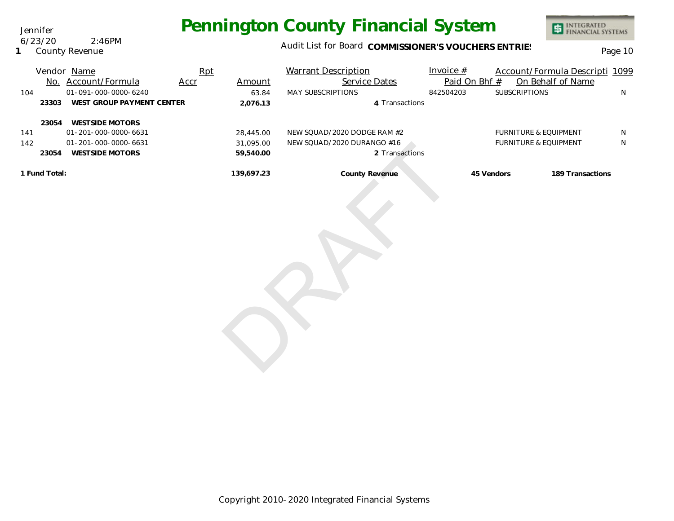Jennifer 6/23/20 2:46PM

**1** County Revenue

### Audit List for Board COMMISSIONER'S VOUCHERS ENTRIES<br>Page 10

INTEGRATED<br>FINANCIAL SYSTEMS

| No.           | Vendor Name<br>Account/Formula | Rpt<br>Accr | Amount     | <b>Warrant Description</b><br>Service Dates | Invoice $#$<br>Paid On Bhf # |                                  | Account/Formula Descripti 1099<br>On Behalf of Name |   |
|---------------|--------------------------------|-------------|------------|---------------------------------------------|------------------------------|----------------------------------|-----------------------------------------------------|---|
| 104           | $01 - 091 - 000 - 0000 - 6240$ |             | 63.84      | <b>MAY SUBSCRIPTIONS</b>                    | 842504203                    | <b>SUBSCRIPTIONS</b>             |                                                     | N |
| 23303         | WEST GROUP PAYMENT CENTER      |             | 2.076.13   | 4 Transactions                              |                              |                                  |                                                     |   |
| 23054         | <b>WESTSIDE MOTORS</b>         |             |            |                                             |                              |                                  |                                                     |   |
| 141           | 01-201-000-0000-6631           |             | 28,445.00  | NEW SQUAD/2020 DODGE RAM #2                 |                              | <b>FURNITURE &amp; EQUIPMENT</b> |                                                     | N |
| 142           | $01 - 201 - 000 - 0000 - 6631$ |             | 31.095.00  | NEW SQUAD/2020 DURANGO #16                  |                              | <b>FURNITURE &amp; EQUIPMENT</b> |                                                     | N |
| 23054         | <b>WESTSIDE MOTORS</b>         |             | 59,540.00  | 2 Transactions                              |                              |                                  |                                                     |   |
| 1 Fund Total: |                                |             | 139.697.23 | County Revenue                              |                              | 45 Vendors                       | 189 Transactions                                    |   |

31,095.00 NEW SOUAD/2020 DURANGO #16<br>59,540.00 2 Transactions<br>139,697.23 County Revenue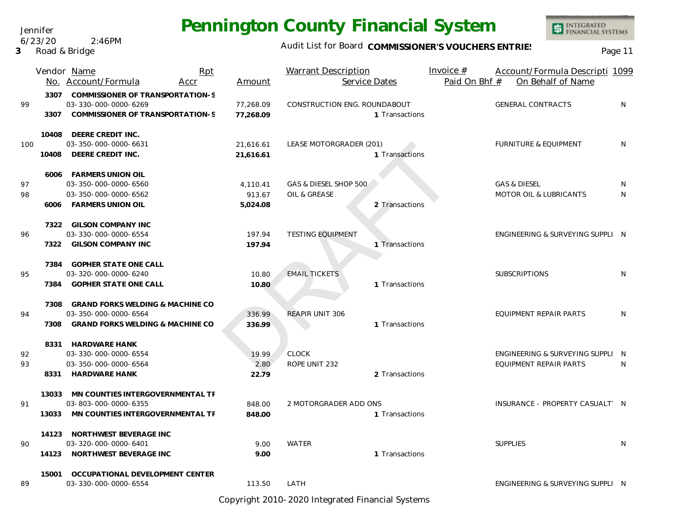Jennifer 6/23/20 2:46PM

**3** Road & Bridge

### Audit List for Board COMMISSIONER'S VOUCHERS ENTRIES<br>Page 11

INTEGRATED<br>FINANCIAL SYSTEMS

|     |       | Vendor Name<br>Rpt<br>No. Account/Formula<br>Accr                                                 | Amount                 | <b>Warrant Description</b><br>Service Dates    | Invoice $#$<br>Account/Formula Descripti 1099<br>Paid On Bhf #<br>On Behalf of Name |
|-----|-------|---------------------------------------------------------------------------------------------------|------------------------|------------------------------------------------|-------------------------------------------------------------------------------------|
| 99  | 3307  | 3307 COMMISSIONER OF TRANSPORTATION-S<br>03-330-000-0000-6269<br>COMMISSIONER OF TRANSPORTATION-S | 77,268.09<br>77,268.09 | CONSTRUCTION ENG. ROUNDABOUT<br>1 Transactions | <b>GENERAL CONTRACTS</b><br>N                                                       |
| 100 | 10408 | DEERE CREDIT INC.<br>03-350-000-0000-6631                                                         | 21,616.61              | LEASE MOTORGRADER (201)                        | <b>FURNITURE &amp; EQUIPMENT</b><br>N                                               |
|     | 10408 | DEERE CREDIT INC.                                                                                 | 21,616.61              | 1 Transactions                                 |                                                                                     |
| 97  |       | 6006 FARMERS UNION OIL<br>03-350-000-0000-6560                                                    | 4,110.41               | GAS & DIESEL SHOP 500                          | <b>GAS &amp; DIESEL</b><br>N.                                                       |
| 98  |       | 03-350-000-0000-6562                                                                              | 913.67                 | OIL & GREASE                                   | MOTOR OIL & LUBRICANTS<br>N                                                         |
|     |       | 6006 FARMERS UNION OIL                                                                            | 5,024.08               | 2 Transactions                                 |                                                                                     |
| 96  |       | 7322 GILSON COMPANY INC<br>03-330-000-0000-6554                                                   |                        | <b>TESTING EQUIPMENT</b>                       | ENGINEERING & SURVEYING SUPPLI N                                                    |
|     | 7322  | <b>GILSON COMPANY INC</b>                                                                         | 197.94<br>197.94       | 1 Transactions                                 |                                                                                     |
|     |       | 7384 GOPHER STATE ONE CALL                                                                        |                        |                                                |                                                                                     |
| 95  |       | 03-320-000-0000-6240                                                                              | 10.80                  | <b>EMAIL TICKETS</b>                           | <b>SUBSCRIPTIONS</b><br>N                                                           |
|     |       | 7384 GOPHER STATE ONE CALL                                                                        | 10.80                  | 1 Transactions                                 |                                                                                     |
|     | 7308  | <b>GRAND FORKS WELDING &amp; MACHINE CO</b>                                                       |                        |                                                |                                                                                     |
| 94  | 7308  | 03-350-000-0000-6564<br><b>GRAND FORKS WELDING &amp; MACHINE CO</b>                               | 336.99<br>336.99       | <b>REAPIR UNIT 306</b><br>1 Transactions       | EQUIPMENT REPAIR PARTS<br>N                                                         |
|     |       | 8331 HARDWARE HANK                                                                                |                        |                                                |                                                                                     |
| 92  |       | 03-330-000-0000-6554                                                                              | 19.99                  | CLOCK                                          | ENGINEERING & SURVEYING SUPPLI N                                                    |
| 93  |       | 03-350-000-0000-6564                                                                              | 2.80                   | ROPE UNIT 232                                  | EQUIPMENT REPAIR PARTS<br>N                                                         |
|     |       | 8331 HARDWARE HANK                                                                                | 22.79                  | 2 Transactions                                 |                                                                                     |
|     | 13033 | MN COUNTIES INTERGOVERNMENTAL TF                                                                  |                        |                                                |                                                                                     |
| 91  |       | 03-803-000-0000-6355                                                                              | 848.00                 | 2 MOTORGRADER ADD ONS                          | INSURANCE - PROPERTY CASUALT' N                                                     |
|     | 13033 | MN COUNTIES INTERGOVERNMENTAL TF                                                                  | 848.00                 | 1 Transactions                                 |                                                                                     |
| 90  |       | 14123 NORTHWEST BEVERAGE INC<br>03-320-000-0000-6401                                              | 9.00                   | <b>WATER</b>                                   | <b>SUPPLIES</b><br>N                                                                |
|     |       | 14123 NORTHWEST BEVERAGE INC                                                                      | 9.00                   | 1 Transactions                                 |                                                                                     |
|     | 15001 | OCCUPATIONAL DEVELOPMENT CENTER                                                                   |                        |                                                |                                                                                     |
| 89  |       | 03-330-000-0000-6554                                                                              | 113.50                 | LATH                                           | ENGINEERING & SURVEYING SUPPLI N                                                    |

Copyright 2010-2020 Integrated Financial Systems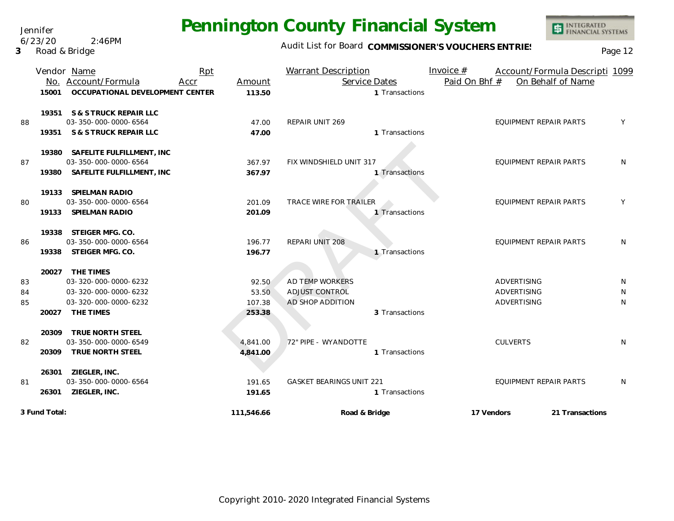Jennifer 6/23/20 2:46PM

**3** Road & Bridge

### Audit List for Board COMMISSIONER'S VOUCHERS ENTRIES<br>Page 12

|    |               | Vendor Name<br>No. Account/Formula | Rpt<br>Accr | Amount     | <b>Warrant Description</b><br>Service Dates |                | Invoice $#$<br>Paid On Bhf # |                               | Account/Formula Descripti 1099<br>On Behalf of Name |   |
|----|---------------|------------------------------------|-------------|------------|---------------------------------------------|----------------|------------------------------|-------------------------------|-----------------------------------------------------|---|
|    | 15001         | OCCUPATIONAL DEVELOPMENT CENTER    |             | 113.50     |                                             | 1 Transactions |                              |                               |                                                     |   |
|    |               | 19351 S & S TRUCK REPAIR LLC       |             |            |                                             |                |                              |                               |                                                     |   |
| 88 |               | 03-350-000-0000-6564               |             | 47.00      | REPAIR UNIT 269                             |                |                              | <b>EQUIPMENT REPAIR PARTS</b> |                                                     | Y |
|    | 19351         | S & S TRUCK REPAIR LLC             |             | 47.00      |                                             | 1 Transactions |                              |                               |                                                     |   |
|    |               | 19380 SAFELITE FULFILLMENT, INC    |             |            |                                             |                |                              |                               |                                                     |   |
| 87 |               | 03-350-000-0000-6564               |             | 367.97     | FIX WINDSHIELD UNIT 317                     |                |                              | <b>EQUIPMENT REPAIR PARTS</b> |                                                     | N |
|    | 19380         | SAFELITE FULFILLMENT, INC          |             | 367.97     |                                             | 1 Transactions |                              |                               |                                                     |   |
|    |               | 19133 SPIELMAN RADIO               |             |            |                                             |                |                              |                               |                                                     |   |
| 80 |               | 03-350-000-0000-6564               |             | 201.09     | <b>TRACE WIRE FOR TRAILER</b>               |                |                              | EQUIPMENT REPAIR PARTS        |                                                     | Y |
|    | 19133         | SPIELMAN RADIO                     |             | 201.09     |                                             | 1 Transactions |                              |                               |                                                     |   |
|    |               | 19338 STEIGER MFG. CO.             |             |            |                                             |                |                              |                               |                                                     |   |
| 86 |               | 03-350-000-0000-6564               |             | 196.77     | REPARI UNIT 208                             |                |                              | <b>EQUIPMENT REPAIR PARTS</b> |                                                     | N |
|    | 19338         | STEIGER MFG. CO.                   |             | 196.77     |                                             | 1 Transactions |                              |                               |                                                     |   |
|    |               | 20027 THE TIMES                    |             |            |                                             |                |                              |                               |                                                     |   |
| 83 |               | 03-320-000-0000-6232               |             | 92.50      | AD TEMP WORKERS                             |                |                              | <b>ADVERTISING</b>            |                                                     | N |
| 84 |               | 03-320-000-0000-6232               |             | 53.50      | <b>ADJUST CONTROL</b>                       |                |                              | ADVERTISING                   |                                                     | N |
| 85 |               | 03-320-000-0000-6232               |             | 107.38     | AD SHOP ADDITION                            |                |                              | ADVERTISING                   |                                                     | N |
|    | 20027         | THE TIMES                          |             | 253.38     |                                             | 3 Transactions |                              |                               |                                                     |   |
|    |               | 20309 TRUE NORTH STEEL             |             |            |                                             |                |                              |                               |                                                     |   |
| 82 |               | 03-350-000-0000-6549               |             | 4,841.00   | 72" PIPE - WYANDOTTE                        |                |                              | <b>CULVERTS</b>               |                                                     | N |
|    | 20309         | TRUE NORTH STEEL                   |             | 4,841.00   |                                             | 1 Transactions |                              |                               |                                                     |   |
|    | 26301         | ZIEGLER, INC.                      |             |            |                                             |                |                              |                               |                                                     |   |
| 81 |               | 03-350-000-0000-6564               |             | 191.65     | <b>GASKET BEARINGS UNIT 221</b>             |                |                              | <b>EQUIPMENT REPAIR PARTS</b> |                                                     | N |
|    |               | 26301 ZIEGLER, INC.                |             | 191.65     |                                             | 1 Transactions |                              |                               |                                                     |   |
|    | 3 Fund Total: |                                    |             | 111,546.66 | Road & Bridge                               |                | 17 Vendors                   |                               | 21 Transactions                                     |   |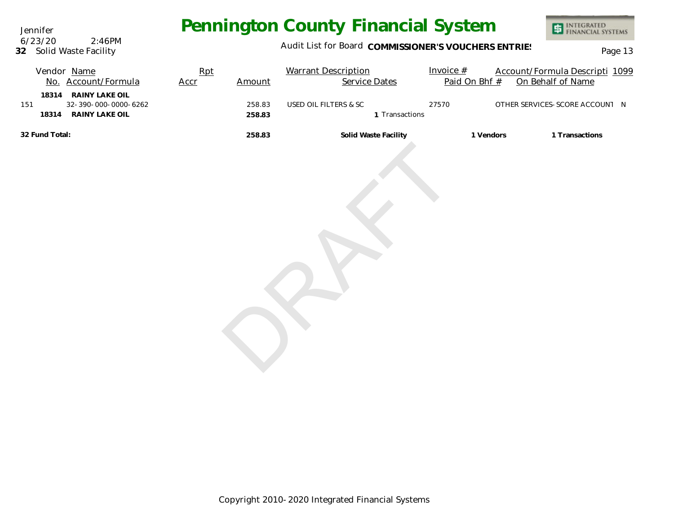Jennifer **32** Solid Waste Facility 6/23/20 2:46PM

### Audit List for Board COMMISSIONER'S VOUCHERS ENTRIES<br>Page 13

|                | Vendor Name<br>No. Account/Formula                                   | Rpt<br>Accr | Amount           | <b>Warrant Description</b><br>Service Dates | Invoice $#$<br>Paid On Bhf # | Account/Formula Descripti 1099<br>On Behalf of Name |
|----------------|----------------------------------------------------------------------|-------------|------------------|---------------------------------------------|------------------------------|-----------------------------------------------------|
| 151            | 18314 RAINY LAKE OIL<br>32-390-000-0000-6262<br>18314 RAINY LAKE OIL |             | 258.83<br>258.83 | USED OIL FILTERS & SC<br>1 Transactions     | 27570                        | OTHER SERVICES-SCORE ACCOUNT N                      |
| 32 Fund Total: |                                                                      |             | 258.83           | Solid Waste Facility                        | 1 Vendors                    | 1 Transactions                                      |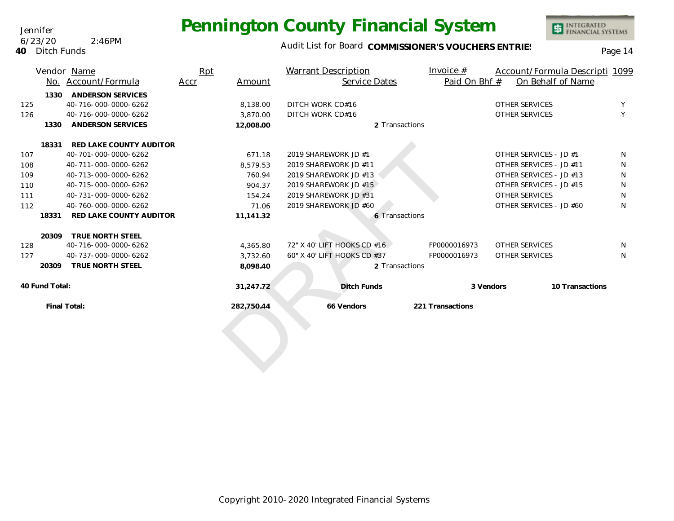#### Audit List for Board COMMISSIONER'S VOUCHERS ENTRIES<br>Page 14

INTEGRATED<br>FINANCIAL SYSTEMS

|     |                | Vendor Name              | Rpt  |            | Warrant Description         | Invoice $#$      |                         | Account/Formula Descripti 1099 |
|-----|----------------|--------------------------|------|------------|-----------------------------|------------------|-------------------------|--------------------------------|
|     | No.            | Account/Formula          | Accr | Amount     | Service Dates               | Paid On Bhf #    | On Behalf of Name       |                                |
|     | 1330           | <b>ANDERSON SERVICES</b> |      |            |                             |                  |                         |                                |
| 125 |                | 40-716-000-0000-6262     |      | 8,138.00   | DITCH WORK CD#16            |                  | <b>OTHER SERVICES</b>   | Y                              |
| 126 |                | 40-716-000-0000-6262     |      | 3,870.00   | DITCH WORK CD#16            |                  | <b>OTHER SERVICES</b>   | Y                              |
|     | 1330           | <b>ANDERSON SERVICES</b> |      | 12,008.00  | 2 Transactions              |                  |                         |                                |
|     | 18331          | RED LAKE COUNTY AUDITOR  |      |            |                             |                  |                         |                                |
| 107 |                | 40-701-000-0000-6262     |      | 671.18     | 2019 SHAREWORK JD #1        |                  | OTHER SERVICES - JD #1  | N                              |
| 108 |                | 40-711-000-0000-6262     |      | 8.579.53   | 2019 SHAREWORK JD #11       |                  | OTHER SERVICES - JD #11 | N                              |
| 109 |                | 40-713-000-0000-6262     |      | 760.94     | 2019 SHAREWORK JD #13       |                  | OTHER SERVICES - JD #13 | N                              |
| 110 |                | 40-715-000-0000-6262     |      | 904.37     | 2019 SHAREWORK JD #15       |                  | OTHER SERVICES - JD #15 | N                              |
| 111 |                | 40-731-000-0000-6262     |      | 154.24     | 2019 SHAREWORK JD #31       |                  | <b>OTHER SERVICES</b>   | N                              |
| 112 |                | 40-760-000-0000-6262     |      | 71.06      | 2019 SHAREWORK JD #60       |                  | OTHER SERVICES - JD #60 | N                              |
|     | 18331          | RED LAKE COUNTY AUDITOR  |      | 11,141.32  | 6 Transactions              |                  |                         |                                |
|     | 20309          | TRUE NORTH STEEL         |      |            |                             |                  |                         |                                |
| 128 |                | 40-716-000-0000-6262     |      | 4,365.80   | 72" X 40' LIFT HOOKS CD #16 | FP0000016973     | OTHER SERVICES          | N                              |
| 127 |                | 40-737-000-0000-6262     |      | 3,732.60   | 60" X 40' LIFT HOOKS CD #37 | FP0000016973     | <b>OTHER SERVICES</b>   | N                              |
|     | 20309          | TRUE NORTH STEEL         |      | 8,098.40   | 2 Transactions              |                  |                         |                                |
|     | 40 Fund Total: |                          |      | 31,247.72  | <b>Ditch Funds</b>          | 3 Vendors        |                         | 10 Transactions                |
|     | Final Total:   |                          |      | 282,750.44 | 66 Vendors                  | 221 Transactions |                         |                                |
|     |                |                          |      |            |                             |                  |                         |                                |

Jennifer 6/23/20 2:46PM

**40** Ditch Funds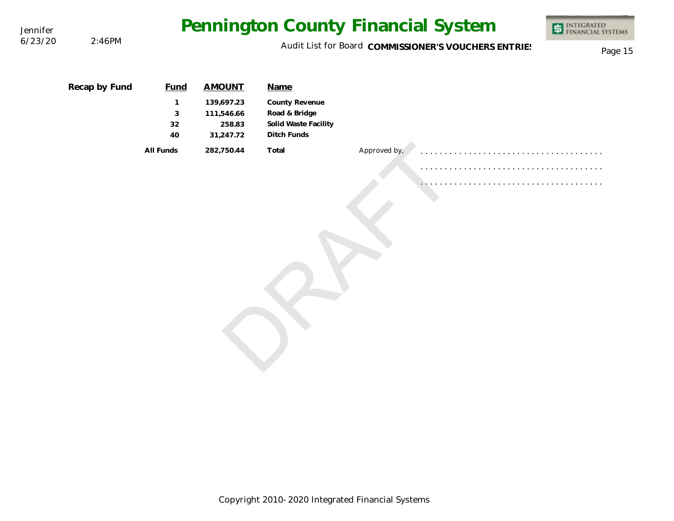|               |                             |                                                     |                                                                 |              | <b>ED INTEGRATED</b><br>FINANCIAL SYSTEMS                                                  |
|---------------|-----------------------------|-----------------------------------------------------|-----------------------------------------------------------------|--------------|--------------------------------------------------------------------------------------------|
|               |                             |                                                     |                                                                 |              | Page 15                                                                                    |
| Recap by Fund | <b>Fund</b><br>1<br>3<br>32 | <b>AMOUNT</b><br>139,697.23<br>111,546.66<br>258.83 | Name<br>County Revenue<br>Road & Bridge<br>Solid Waste Facility |              |                                                                                            |
|               | All Funds                   | 282,750.44                                          | Total                                                           | Approved by, |                                                                                            |
|               | 2:46PM                      | 40                                                  | 31,247.72                                                       | Ditch Funds  | Pennington County Financial System<br>Audit List for Board COMMISSIONER'S VOUCHERS ENTRIES |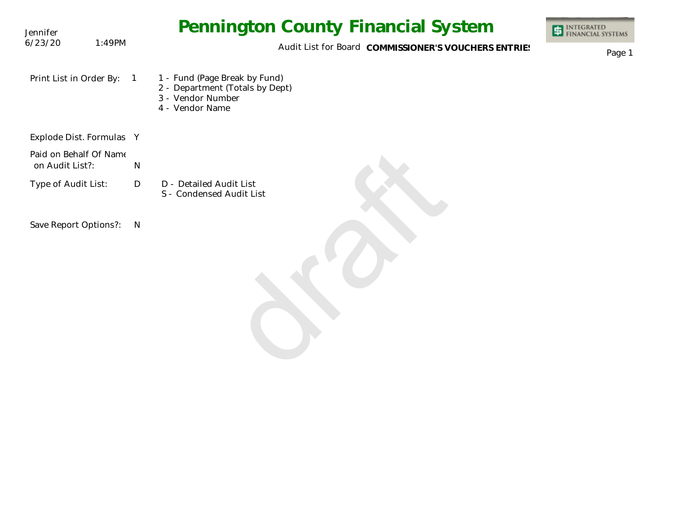| Jennifer                                  |                | <b>Pennington County Financial System</b>                                                                | <b>INTEGRATED<br/>FINANCIAL SYSTEMS</b> |
|-------------------------------------------|----------------|----------------------------------------------------------------------------------------------------------|-----------------------------------------|
| 6/23/20                                   | 1:49PM         | Audit List for Board COMMISSIONER'S VOUCHERS ENTRIES                                                     | Page 1                                  |
| Print List in Order By:                   | $\overline{1}$ | 1 - Fund (Page Break by Fund)<br>2 - Department (Totals by Dept)<br>3 - Vendor Number<br>4 - Vendor Name |                                         |
| Explode Dist. Formulas Y                  |                |                                                                                                          |                                         |
| Paid on Behalf Of Name<br>on Audit List?: | $\mathsf{N}$   |                                                                                                          |                                         |
| Type of Audit List:                       | D              | D - Detailed Audit List<br>S - Condensed Audit List                                                      |                                         |
| Save Report Options?:                     | N              |                                                                                                          |                                         |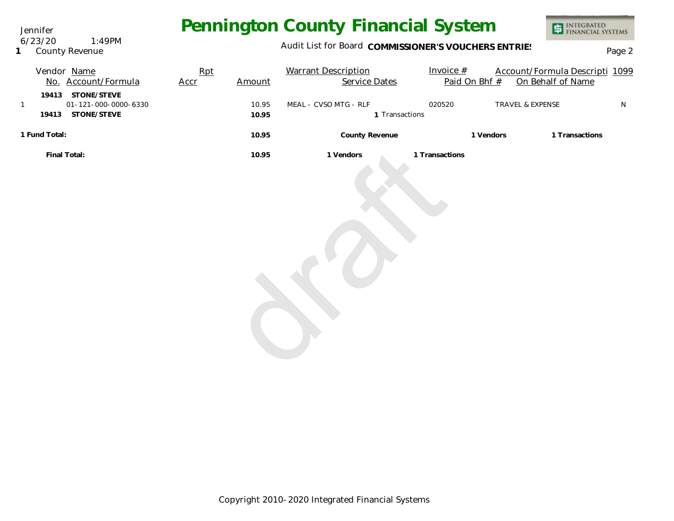Jennifer 6/23/20 1:49PM

**1** County Revenue

### Audit List for Board COMMISSIONER'S VOUCHERS ENTRIES<br>Page 2

| Vendor Name                                               | Rpt  |        | <b>Warrant Description</b> | Invoice #      |           | Account/Formula Descripti 1099 |           |
|-----------------------------------------------------------|------|--------|----------------------------|----------------|-----------|--------------------------------|-----------|
| No. Account/Formula                                       | Accr | Amount | Service Dates              | Paid On Bhf #  |           | On Behalf of Name              |           |
| 19413 STONE/STEVE<br>01-121-000-0000-6330<br>$\mathbf{1}$ |      | 10.95  | MEAL - CVSO MTG - RLF      | 020520         |           | TRAVEL & EXPENSE               | ${\sf N}$ |
| 19413 STONE/STEVE                                         |      | 10.95  | 1 Transactions             |                |           |                                |           |
| 1 Fund Total:                                             |      | 10.95  | County Revenue             |                | 1 Vendors | 1 Transactions                 |           |
| Final Total:                                              |      | 10.95  | 1 Vendors                  | 1 Transactions |           |                                |           |